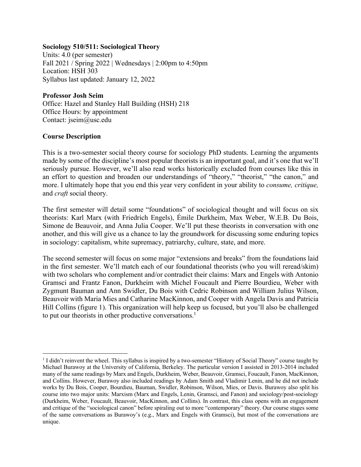## **Sociology 510/511: Sociological Theory**

Units: 4.0 (per semester) Fall 2021 / Spring 2022 | Wednesdays | 2:00pm to 4:50pm Location: HSH 303 Syllabus last updated: January 12, 2022

### **Professor Josh Seim**

Office: Hazel and Stanley Hall Building (HSH) 218 Office Hours: by appointment Contact: jseim@usc.edu

## **Course Description**

This is a two-semester social theory course for sociology PhD students. Learning the arguments made by some of the discipline's most popular theorists is an important goal, and it's one that we'll seriously pursue. However, we'll also read works historically excluded from courses like this in an effort to question and broaden our understandings of "theory," "theorist," "the canon," and more. I ultimately hope that you end this year very confident in your ability to *consume, critique,*  and *craft* social theory.

The first semester will detail some "foundations" of sociological thought and will focus on six theorists: Karl Marx (with Friedrich Engels), Émile Durkheim, Max Weber, W.E.B. Du Bois, Simone de Beauvoir, and Anna Julia Cooper. We'll put these theorists in conversation with one another, and this will give us a chance to lay the groundwork for discussing some enduring topics in sociology: capitalism, white supremacy, patriarchy, culture, state, and more.

The second semester will focus on some major "extensions and breaks" from the foundations laid in the first semester. We'll match each of our foundational theorists (who you will reread/skim) with two scholars who complement and/or contradict their claims: Marx and Engels with Antonio Gramsci and Frantz Fanon, Durkheim with Michel Foucault and Pierre Bourdieu, Weber with Zygmunt Bauman and Ann Swidler, Du Bois with Cedric Robinson and William Julius Wilson, Beauvoir with Maria Mies and Catharine MacKinnon, and Cooper with Angela Davis and Patricia Hill Collins (figure 1). This organization will help keep us focused, but you'll also be challenged to put our theorists in other productive conversations.<sup>1</sup>

<sup>&</sup>lt;sup>1</sup> I didn't reinvent the wheel. This syllabus is inspired by a two-semester "History of Social Theory" course taught by Michael Burawoy at the University of California, Berkeley. The particular version I assisted in 2013-2014 included many of the same readings by Marx and Engels, Durkheim, Weber, Beauvoir, Gramsci, Foucault, Fanon, MacKinnon, and Collins. However, Burawoy also included readings by Adam Smith and Vladimir Lenin, and he did not include works by Du Bois, Cooper, Bourdieu, Bauman, Swidler, Robinson, Wilson, Mies, or Davis. Burawoy also split his course into two major units: Marxism (Marx and Engels, Lenin, Gramsci, and Fanon) and sociology/post-sociology (Durkheim, Weber, Foucault, Beauvoir, MacKinnon, and Collins). In contrast, this class opens with an engagement and critique of the "sociological canon" before spiraling out to more "contemporary" theory. Our course stages some of the same conversations as Burawoy's (e.g., Marx and Engels with Gramsci), but most of the conversations are unique.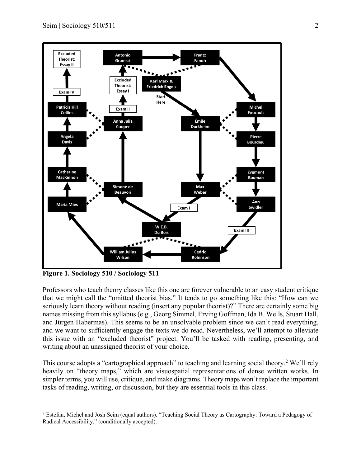

**Figure 1. Sociology 510 / Sociology 511**

Professors who teach theory classes like this one are forever vulnerable to an easy student critique that we might call the "omitted theorist bias." It tends to go something like this: "How can we seriously learn theory without reading (insert any popular theorist)?" There are certainly some big names missing from this syllabus (e.g., Georg Simmel, Erving Goffman, Ida B. Wells, Stuart Hall, and Jürgen Habermas). This seems to be an unsolvable problem since we can't read everything, and we want to sufficiently engage the texts we do read. Nevertheless, we'll attempt to alleviate this issue with an "excluded theorist" project. You'll be tasked with reading, presenting, and writing about an unassigned theorist of your choice.

This course adopts a "cartographical approach" to teaching and learning social theory.<sup>2</sup> We'll rely heavily on "theory maps," which are visuospatial representations of dense written works. In simpler terms, you will use, critique, and make diagrams. Theory maps won't replace the important tasks of reading, writing, or discussion, but they are essential tools in this class.

<sup>2</sup> Estefan, Michel and Josh Seim (equal authors). "Teaching Social Theory as Cartography: Toward a Pedagogy of Radical Accessibility." (conditionally accepted).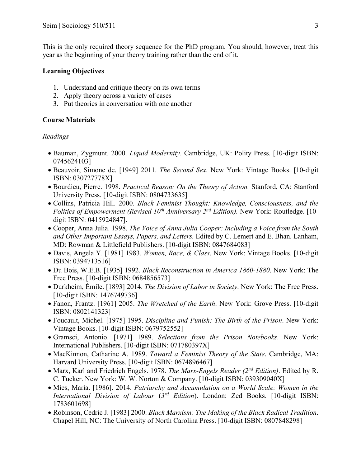This is the only required theory sequence for the PhD program. You should, however, treat this year as the beginning of your theory training rather than the end of it.

## **Learning Objectives**

- 1. Understand and critique theory on its own terms
- 2. Apply theory across a variety of cases
- 3. Put theories in conversation with one another

## **Course Materials**

## *Readings*

- Bauman, Zygmunt. 2000. *Liquid Modernity*. Cambridge, UK: Polity Press. [10-digit ISBN: 0745624103]
- Beauvoir, Simone de. [1949] 2011. *The Second Sex*. New York: Vintage Books. [10-digit ISBN: 030727778X]
- Bourdieu, Pierre. 1998. *Practical Reason: On the Theory of Action.* Stanford, CA: Stanford University Press. [10-digit ISBN: 0804733635]
- Collins, Patricia Hill. 2000. *Black Feminist Thought: Knowledge, Consciousness, and the Politics of Empowerment (Revised 10<sup>th</sup> Anniversary 2<sup>nd</sup> <i>Edition)*. New York: Routledge. [10digit ISBN: 0415924847].
- Cooper, Anna Julia. 1998. *The Voice of Anna Julia Cooper: Including a Voice from the South and Other Important Essays, Papers, and Letters.* Edited by C. Lemert and E. Bhan. Lanham, MD: Rowman & Littlefield Publishers. [10-digit ISBN: 0847684083]
- Davis, Angela Y. [1981] 1983. *Women, Race, & Class*. New York: Vintage Books. [10-digit ISBN: 0394713516]
- Du Bois, W.E.B. [1935] 1992. *Black Reconstruction in America 1860-1880*. New York: The Free Press. [10-digit ISBN: 0684856573]
- Durkheim, Émile. [1893] 2014. *The Division of Labor in Society*. New York: The Free Press. [10-digit ISBN: 1476749736]
- Fanon, Frantz. [1961] 2005. *The Wretched of the Earth*. New York: Grove Press. [10-digit ISBN: 0802141323]
- Foucault, Michel. [1975] 1995. *Discipline and Punish: The Birth of the Prison*. New York: Vintage Books. [10-digit ISBN: 0679752552]
- Gramsci, Antonio. [1971] 1989. *Selections from the Prison Notebooks*. New York: International Publishers. [10-digit ISBN: 071780397X]
- MacKinnon, Catharine A. 1989. *Toward a Feminist Theory of the State*. Cambridge, MA: Harvard University Press. [10-digit ISBN: 0674896467]
- Marx, Karl and Friedrich Engels. 1978. *The Marx-Engels Reader (2nd Edition)*. Edited by R. C. Tucker. New York: W. W. Norton & Company. [10-digit ISBN: 039309040X]
- Mies, Maria. [1986]. 2014. *Patriarchy and Accumulation on a World Scale: Women in the International Division of Labour* (*3rd Edition*). London: Zed Books. [10-digit ISBN: 1783601698]
- Robinson, Cedric J. [1983] 2000. *Black Marxism: The Making of the Black Radical Tradition*. Chapel Hill, NC: The University of North Carolina Press. [10-digit ISBN: 0807848298]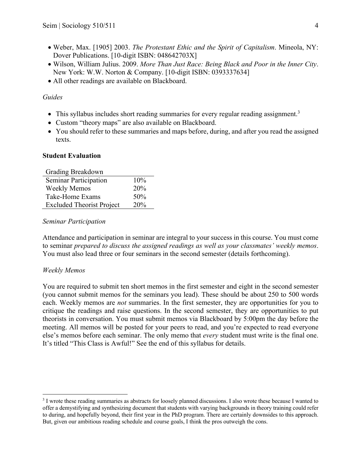- Weber, Max. [1905] 2003. *The Protestant Ethic and the Spirit of Capitalism*. Mineola, NY: Dover Publications. [10-digit ISBN: 048642703X]
- Wilson, William Julius. 2009. *More Than Just Race: Being Black and Poor in the Inner City*. New York: W.W. Norton & Company. [10-digit ISBN: 0393337634]
- All other readings are available on Blackboard.

## *Guides*

- This syllabus includes short reading summaries for every regular reading assignment.<sup>3</sup>
- Custom "theory maps" are also available on Blackboard.
- You should refer to these summaries and maps before, during, and after you read the assigned texts.

## **Student Evaluation**

| Grading Breakdown                |     |
|----------------------------------|-----|
| <b>Seminar Participation</b>     | 10% |
| <b>Weekly Memos</b>              | 20% |
| Take-Home Exams                  | 50% |
| <b>Excluded Theorist Project</b> | 20% |

### *Seminar Participation*

Attendance and participation in seminar are integral to your success in this course. You must come to seminar *prepared to discuss the assigned readings as well as your classmates' weekly memos*. You must also lead three or four seminars in the second semester (details forthcoming).

## *Weekly Memos*

You are required to submit ten short memos in the first semester and eight in the second semester (you cannot submit memos for the seminars you lead). These should be about 250 to 500 words each. Weekly memos are *not* summaries. In the first semester, they are opportunities for you to critique the readings and raise questions. In the second semester, they are opportunities to put theorists in conversation. You must submit memos via Blackboard by 5:00pm the day before the meeting. All memos will be posted for your peers to read, and you're expected to read everyone else's memos before each seminar. The only memo that *every* student must write is the final one. It's titled "This Class is Awful!" See the end of this syllabus for details.

<sup>&</sup>lt;sup>3</sup> I wrote these reading summaries as abstracts for loosely planned discussions. I also wrote these because I wanted to offer a demystifying and synthesizing document that students with varying backgrounds in theory training could refer to during, and hopefully beyond, their first year in the PhD program. There are certainly downsides to this approach. But, given our ambitious reading schedule and course goals, I think the pros outweigh the cons.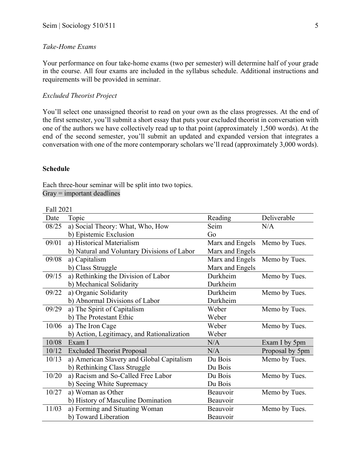## *Take-Home Exams*

Your performance on four take-home exams (two per semester) will determine half of your grade in the course. All four exams are included in the syllabus schedule. Additional instructions and requirements will be provided in seminar.

### *Excluded Theorist Project*

You'll select one unassigned theorist to read on your own as the class progresses. At the end of the first semester, you'll submit a short essay that puts your excluded theorist in conversation with one of the authors we have collectively read up to that point (approximately 1,500 words). At the end of the second semester, you'll submit an updated and expanded version that integrates a conversation with one of the more contemporary scholars we'll read (approximately 3,000 words).

### **Schedule**

Each three-hour seminar will be split into two topics.  $Gray = important$  deadlines

### Fall 2021

| Date  | Topic                                       | Reading         | Deliverable     |
|-------|---------------------------------------------|-----------------|-----------------|
| 08/25 | a) Social Theory: What, Who, How            | Seim            | N/A             |
|       | b) Epistemic Exclusion                      | Go              |                 |
| 09/01 | a) Historical Materialism                   | Marx and Engels | Memo by Tues.   |
|       | b) Natural and Voluntary Divisions of Labor | Marx and Engels |                 |
| 09/08 | a) Capitalism                               | Marx and Engels | Memo by Tues.   |
|       | b) Class Struggle                           | Marx and Engels |                 |
| 09/15 | a) Rethinking the Division of Labor         | Durkheim        | Memo by Tues.   |
|       | b) Mechanical Solidarity                    | Durkheim        |                 |
| 09/22 | a) Organic Solidarity                       | Durkheim        | Memo by Tues.   |
|       | b) Abnormal Divisions of Labor              | Durkheim        |                 |
| 09/29 | a) The Spirit of Capitalism                 | Weber           | Memo by Tues.   |
|       | b) The Protestant Ethic                     | Weber           |                 |
| 10/06 | a) The Iron Cage                            | Weber           | Memo by Tues.   |
|       | b) Action, Legitimacy, and Rationalization  | Weber           |                 |
| 10/08 | Exam I                                      | N/A             | Exam I by 5pm   |
| 10/12 | <b>Excluded Theorist Proposal</b>           | N/A             | Proposal by 5pm |
| 10/13 | a) American Slavery and Global Capitalism   | Du Bois         | Memo by Tues.   |
|       | b) Rethinking Class Struggle                | Du Bois         |                 |
| 10/20 | a) Racism and So-Called Free Labor          | Du Bois         | Memo by Tues.   |
|       | b) Seeing White Supremacy                   | Du Bois         |                 |
| 10/27 | a) Woman as Other                           | Beauvoir        | Memo by Tues.   |
|       | b) History of Masculine Domination          | Beauvoir        |                 |
| 11/03 | a) Forming and Situating Woman              | Beauvoir        | Memo by Tues.   |
|       | b) Toward Liberation                        | Beauvoir        |                 |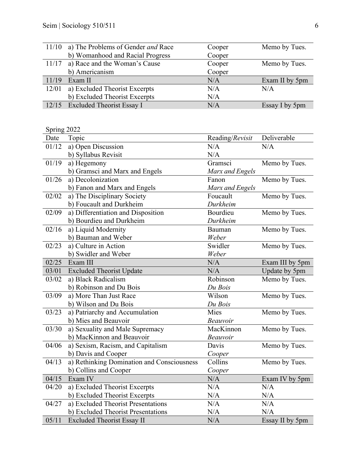|       | 11/10 a) The Problems of Gender and Race | Cooper | Memo by Tues.  |
|-------|------------------------------------------|--------|----------------|
|       | b) Womanhood and Racial Progress         | Cooper |                |
|       | 11/17 a) Race and the Woman's Cause      | Cooper | Memo by Tues.  |
|       | b) Americanism                           | Cooper |                |
| 11/19 | Exam II                                  | N/A    | Exam II by 5pm |
| 12/01 | a) Excluded Theorist Excerpts            | N/A    | N/A            |
|       | b) Excluded Theorist Excerpts            | N/A    |                |
|       | 12/15 Excluded Theorist Essay I          | N/A    | Essay I by 5pm |
|       |                                          |        |                |

Spring 2022

| Date  | Topic                                      | Reading/Revisit | Deliverable     |
|-------|--------------------------------------------|-----------------|-----------------|
| 01/12 | a) Open Discussion                         | N/A             | N/A             |
|       | b) Syllabus Revisit                        | N/A             |                 |
| 01/19 | a) Hegemony                                | Gramsci         | Memo by Tues.   |
|       | b) Gramsci and Marx and Engels             | Marx and Engels |                 |
| 01/26 | a) Decolonization                          | Fanon           | Memo by Tues.   |
|       | b) Fanon and Marx and Engels               | Marx and Engels |                 |
| 02/02 | a) The Disciplinary Society                | Foucault        | Memo by Tues.   |
|       | b) Foucault and Durkheim                   | Durkheim        |                 |
| 02/09 | a) Differentiation and Disposition         | Bourdieu        | Memo by Tues.   |
|       | b) Bourdieu and Durkheim                   | Durkheim        |                 |
| 02/16 | a) Liquid Modernity                        | Bauman          | Memo by Tues.   |
|       | b) Bauman and Weber                        | Weber           |                 |
| 02/23 | a) Culture in Action                       | Swidler         | Memo by Tues.   |
|       | b) Swidler and Weber                       | Weber           |                 |
| 02/25 | Exam III                                   | N/A             | Exam III by 5pm |
| 03/01 | <b>Excluded Theorist Update</b>            | N/A             | Update by 5pm   |
| 03/02 | a) Black Radicalism                        | Robinson        | Memo by Tues.   |
|       | b) Robinson and Du Bois                    | Du Bois         |                 |
| 03/09 | a) More Than Just Race                     | Wilson          | Memo by Tues.   |
|       | b) Wilson and Du Bois                      | Du Bois         |                 |
| 03/23 | a) Patriarchy and Accumulation             | Mies            | Memo by Tues.   |
|       | b) Mies and Beauvoir                       | Beauvoir        |                 |
| 03/30 | a) Sexuality and Male Supremacy            | MacKinnon       | Memo by Tues.   |
|       | b) MacKinnon and Beauvoir                  | Beauvoir        |                 |
| 04/06 | a) Sexism, Racism, and Capitalism          | Davis           | Memo by Tues.   |
|       | b) Davis and Cooper                        | Cooper          |                 |
| 04/13 | a) Rethinking Domination and Consciousness | Collins         | Memo by Tues.   |
|       | b) Collins and Cooper                      | Cooper          |                 |
| 04/15 | Exam IV                                    | N/A             | Exam IV by 5pm  |
| 04/20 | a) Excluded Theorist Excerpts              | N/A             | N/A             |
|       | b) Excluded Theorist Excerpts              | N/A             | N/A             |
| 04/27 | a) Excluded Theorist Presentations         | N/A             | N/A             |
|       | b) Excluded Theorist Presentations         | N/A             | N/A             |
| 05/11 | <b>Excluded Theorist Essay II</b>          | N/A             | Essay II by 5pm |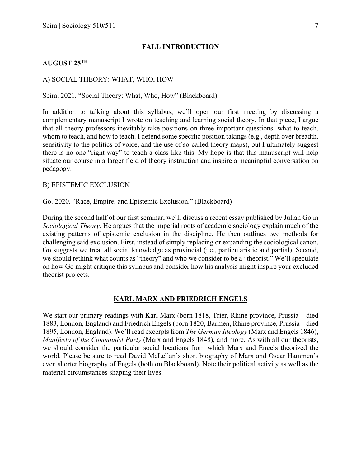### **FALL INTRODUCTION**

### **AUGUST 25TH**

### A) SOCIAL THEORY: WHAT, WHO, HOW

#### Seim. 2021. "Social Theory: What, Who, How" (Blackboard)

In addition to talking about this syllabus, we'll open our first meeting by discussing a complementary manuscript I wrote on teaching and learning social theory. In that piece, I argue that all theory professors inevitably take positions on three important questions: what to teach, whom to teach, and how to teach. I defend some specific position takings (e.g., depth over breadth, sensitivity to the politics of voice, and the use of so-called theory maps), but I ultimately suggest there is no one "right way" to teach a class like this. My hope is that this manuscript will help situate our course in a larger field of theory instruction and inspire a meaningful conversation on pedagogy.

### B) EPISTEMIC EXCLUSION

### Go. 2020. "Race, Empire, and Epistemic Exclusion." (Blackboard)

During the second half of our first seminar, we'll discuss a recent essay published by Julian Go in *Sociological Theory*. He argues that the imperial roots of academic sociology explain much of the existing patterns of epistemic exclusion in the discipline. He then outlines two methods for challenging said exclusion. First, instead of simply replacing or expanding the sociological canon, Go suggests we treat all social knowledge as provincial (i.e., particularistic and partial). Second, we should rethink what counts as "theory" and who we consider to be a "theorist." We'll speculate on how Go might critique this syllabus and consider how his analysis might inspire your excluded theorist projects.

### **KARL MARX AND FRIEDRICH ENGELS**

We start our primary readings with Karl Marx (born 1818, Trier, Rhine province, Prussia – died 1883, London, England) and Friedrich Engels (born 1820, Barmen, Rhine province, Prussia – died 1895, London, England). We'll read excerpts from *The German Ideology* (Marx and Engels 1846), *Manifesto of the Communist Party* (Marx and Engels 1848), and more. As with all our theorists, we should consider the particular social locations from which Marx and Engels theorized the world. Please be sure to read David McLellan's short biography of Marx and Oscar Hammen's even shorter biography of Engels (both on Blackboard). Note their political activity as well as the material circumstances shaping their lives.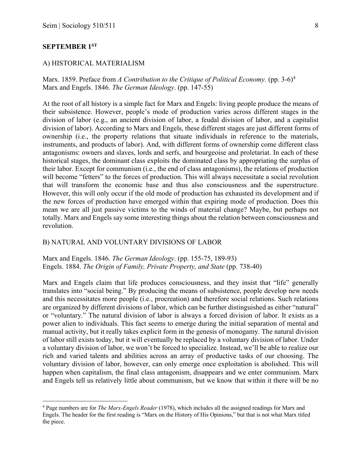### **SEPTEMBER 1ST**

### A) HISTORICAL MATERIALISM

Marx. 1859. Preface from *A Contribution to the Critique of Political Economy*. (pp. 3-6)4 Marx and Engels. 1846. *The German Ideology*. (pp. 147-55)

At the root of all history is a simple fact for Marx and Engels: living people produce the means of their subsistence. However, people's mode of production varies across different stages in the division of labor (e.g., an ancient division of labor, a feudal division of labor, and a capitalist division of labor). According to Marx and Engels, these different stages are just different forms of ownership (i.e., the property relations that situate individuals in reference to the materials, instruments, and products of labor). And, with different forms of ownership come different class antagonisms: owners and slaves, lords and serfs, and bourgeoise and proletariat. In each of these historical stages, the dominant class exploits the dominated class by appropriating the surplus of their labor. Except for communism (i.e., the end of class antagonisms), the relations of production will become "fetters" to the forces of production. This will always necessitate a social revolution that will transform the economic base and thus also consciousness and the superstructure. However, this will only occur if the old mode of production has exhausted its development and if the new forces of production have emerged within that expiring mode of production. Does this mean we are all just passive victims to the winds of material change? Maybe, but perhaps not totally. Marx and Engels say some interesting things about the relation between consciousness and revolution.

#### B) NATURAL AND VOLUNTARY DIVISIONS OF LABOR

Marx and Engels. 1846. *The German Ideology*. (pp. 155-75, 189-93) Engels. 1884. *The Origin of Family, Private Property, and State* (pp. 738-40)

Marx and Engels claim that life produces consciousness, and they insist that "life" generally translates into "social being." By producing the means of subsistence, people develop new needs and this necessitates more people (i.e., procreation) and therefore social relations. Such relations are organized by different divisions of labor, which can be further distinguished as either "natural" or "voluntary." The natural division of labor is always a forced division of labor. It exists as a power alien to individuals. This fact seems to emerge during the initial separation of mental and manual activity, but it really takes explicit form in the genesis of monogamy. The natural division of labor still exists today, but it will eventually be replaced by a voluntary division of labor. Under a voluntary division of labor, we won't be forced to specialize. Instead, we'll be able to realize our rich and varied talents and abilities across an array of productive tasks of our choosing. The voluntary division of labor, however, can only emerge once exploitation is abolished. This will happen when capitalism, the final class antagonism, disappears and we enter communism. Marx and Engels tell us relatively little about communism, but we know that within it there will be no

<sup>4</sup> Page numbers are for *The Marx-Engels Reader* (1978), which includes all the assigned readings for Marx and Engels. The header for the first reading is "Marx on the History of His Opinions," but that is not what Marx titled the piece.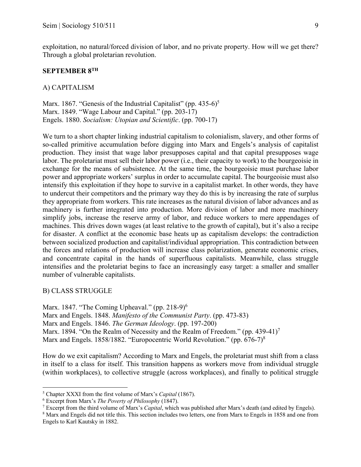exploitation, no natural/forced division of labor, and no private property. How will we get there? Through a global proletarian revolution.

### **SEPTEMBER 8TH**

### A) CAPITALISM

Marx. 1867. "Genesis of the Industrial Capitalist" (pp.  $435-6$ )<sup>5</sup> Marx. 1849. "Wage Labour and Capital." (pp. 203-17) Engels. 1880. *Socialism: Utopian and Scientific*. (pp. 700-17)

We turn to a short chapter linking industrial capitalism to colonialism, slavery, and other forms of so-called primitive accumulation before digging into Marx and Engels's analysis of capitalist production. They insist that wage labor presupposes capital and that capital presupposes wage labor. The proletariat must sell their labor power (i.e., their capacity to work) to the bourgeoisie in exchange for the means of subsistence. At the same time, the bourgeoisie must purchase labor power and appropriate workers' surplus in order to accumulate capital. The bourgeoisie must also intensify this exploitation if they hope to survive in a capitalist market. In other words, they have to undercut their competitors and the primary way they do this is by increasing the rate of surplus they appropriate from workers. This rate increases as the natural division of labor advances and as machinery is further integrated into production. More division of labor and more machinery simplify jobs, increase the reserve army of labor, and reduce workers to mere appendages of machines. This drives down wages (at least relative to the growth of capital), but it's also a recipe for disaster. A conflict at the economic base heats up as capitalism develops: the contradiction between socialized production and capitalist/individual appropriation. This contradiction between the forces and relations of production will increase class polarization, generate economic crises, and concentrate capital in the hands of superfluous capitalists. Meanwhile, class struggle intensifies and the proletariat begins to face an increasingly easy target: a smaller and smaller number of vulnerable capitalists.

B) CLASS STRUGGLE

Marx. 1847. "The Coming Upheaval." (pp. 218-9)<sup>6</sup> Marx and Engels. 1848. *Manifesto of the Communist Party*. (pp. 473-83) Marx and Engels. 1846. *The German Ideology*. (pp. 197-200) Marx. 1894. "On the Realm of Necessity and the Realm of Freedom." (pp. 439-41)<sup>7</sup> Marx and Engels. 1858/1882. "Europocentric World Revolution." (pp. 676-7)<sup>8</sup>

How do we exit capitalism? According to Marx and Engels, the proletariat must shift from a class in itself to a class for itself. This transition happens as workers move from individual struggle (within workplaces), to collective struggle (across workplaces), and finally to political struggle

<sup>&</sup>lt;sup>5</sup> Chapter XXXI from the first volume of Marx's *Capital* (1867).<br>
<sup>6</sup> Excerpt from Marx's *The Poverty of Philosophy* (1847).<br>
<sup>7</sup> Excerpt from the third volume of Marx's *Capital*, which was published after Marx's deat

Engels to Karl Kautsky in 1882.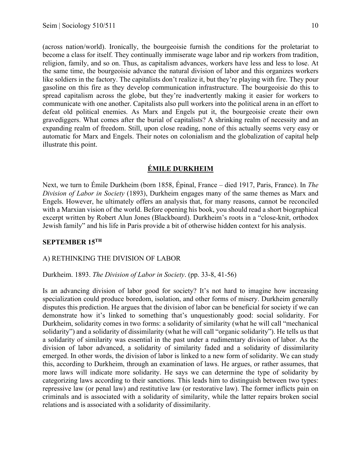(across nation/world). Ironically, the bourgeoisie furnish the conditions for the proletariat to become a class for itself. They continually immiserate wage labor and rip workers from tradition, religion, family, and so on. Thus, as capitalism advances, workers have less and less to lose. At the same time, the bourgeoisie advance the natural division of labor and this organizes workers like soldiers in the factory. The capitalists don't realize it, but they're playing with fire. They pour gasoline on this fire as they develop communication infrastructure. The bourgeoisie do this to spread capitalism across the globe, but they're inadvertently making it easier for workers to communicate with one another. Capitalists also pull workers into the political arena in an effort to defeat old political enemies. As Marx and Engels put it, the bourgeoisie create their own gravediggers. What comes after the burial of capitalists? A shrinking realm of necessity and an expanding realm of freedom. Still, upon close reading, none of this actually seems very easy or automatic for Marx and Engels. Their notes on colonialism and the globalization of capital help illustrate this point.

### **ÉMILE DURKHEIM**

Next, we turn to Émile Durkheim (born 1858, Épinal, France – died 1917, Paris, France). In *The Division of Labor in Society* (1893), Durkheim engages many of the same themes as Marx and Engels. However, he ultimately offers an analysis that, for many reasons, cannot be reconciled with a Marxian vision of the world. Before opening his book, you should read a short biographical excerpt written by Robert Alun Jones (Blackboard). Durkheim's roots in a "close-knit, orthodox Jewish family" and his life in Paris provide a bit of otherwise hidden context for his analysis.

#### **SEPTEMBER 15TH**

#### A) RETHINKING THE DIVISION OF LABOR

#### Durkheim. 1893. *The Division of Labor in Society*. (pp. 33-8, 41-56)

Is an advancing division of labor good for society? It's not hard to imagine how increasing specialization could produce boredom, isolation, and other forms of misery. Durkheim generally disputes this prediction. He argues that the division of labor can be beneficial for society if we can demonstrate how it's linked to something that's unquestionably good: social solidarity. For Durkheim, solidarity comes in two forms: a solidarity of similarity (what he will call "mechanical solidarity") and a solidarity of dissimilarity (what he will call "organic solidarity"). He tells us that a solidarity of similarity was essential in the past under a rudimentary division of labor. As the division of labor advanced, a solidarity of similarity faded and a solidarity of dissimilarity emerged. In other words, the division of labor is linked to a new form of solidarity. We can study this, according to Durkheim, through an examination of laws. He argues, or rather assumes, that more laws will indicate more solidarity. He says we can determine the type of solidarity by categorizing laws according to their sanctions. This leads him to distinguish between two types: repressive law (or penal law) and restitutive law (or restorative law). The former inflicts pain on criminals and is associated with a solidarity of similarity, while the latter repairs broken social relations and is associated with a solidarity of dissimilarity.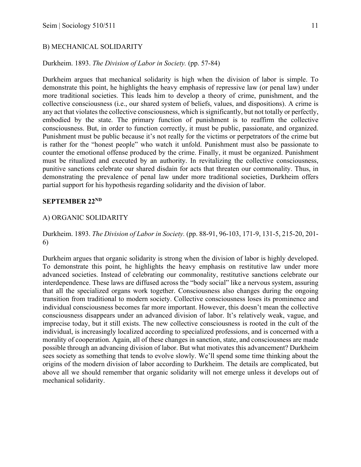# B) MECHANICAL SOLIDARITY

## Durkheim. 1893. *The Division of Labor in Society.* (pp. 57-84)

Durkheim argues that mechanical solidarity is high when the division of labor is simple. To demonstrate this point, he highlights the heavy emphasis of repressive law (or penal law) under more traditional societies. This leads him to develop a theory of crime, punishment, and the collective consciousness (i.e., our shared system of beliefs, values, and dispositions). A crime is any act that violates the collective consciousness, which is significantly, but not totally or perfectly, embodied by the state. The primary function of punishment is to reaffirm the collective consciousness. But, in order to function correctly, it must be public, passionate, and organized. Punishment must be public because it's not really for the victims or perpetrators of the crime but is rather for the "honest people" who watch it unfold. Punishment must also be passionate to counter the emotional offense produced by the crime. Finally, it must be organized. Punishment must be ritualized and executed by an authority. In revitalizing the collective consciousness, punitive sanctions celebrate our shared disdain for acts that threaten our commonality. Thus, in demonstrating the prevalence of penal law under more traditional societies, Durkheim offers partial support for his hypothesis regarding solidarity and the division of labor.

### **SEPTEMBER 22ND**

## A) ORGANIC SOLIDARITY

# Durkheim. 1893. *The Division of Labor in Society.* (pp. 88-91, 96-103, 171-9, 131-5, 215-20, 201- 6)

Durkheim argues that organic solidarity is strong when the division of labor is highly developed. To demonstrate this point, he highlights the heavy emphasis on restitutive law under more advanced societies. Instead of celebrating our commonality, restitutive sanctions celebrate our interdependence. These laws are diffused across the "body social" like a nervous system, assuring that all the specialized organs work together. Consciousness also changes during the ongoing transition from traditional to modern society. Collective consciousness loses its prominence and individual consciousness becomes far more important. However, this doesn't mean the collective consciousness disappears under an advanced division of labor. It's relatively weak, vague, and imprecise today, but it still exists. The new collective consciousness is rooted in the cult of the individual, is increasingly localized according to specialized professions, and is concerned with a morality of cooperation. Again, all of these changes in sanction, state, and consciousness are made possible through an advancing division of labor. But what motivates this advancement? Durkheim sees society as something that tends to evolve slowly. We'll spend some time thinking about the origins of the modern division of labor according to Durkheim. The details are complicated, but above all we should remember that organic solidarity will not emerge unless it develops out of mechanical solidarity.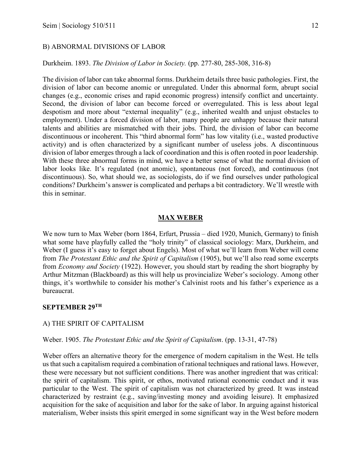### B) ABNORMAL DIVISIONS OF LABOR

Durkheim. 1893. *The Division of Labor in Society.* (pp. 277-80, 285-308, 316-8)

The division of labor can take abnormal forms. Durkheim details three basic pathologies. First, the division of labor can become anomic or unregulated. Under this abnormal form, abrupt social changes (e.g., economic crises and rapid economic progress) intensify conflict and uncertainty. Second, the division of labor can become forced or overregulated. This is less about legal despotism and more about "external inequality" (e.g., inherited wealth and unjust obstacles to employment). Under a forced division of labor, many people are unhappy because their natural talents and abilities are mismatched with their jobs. Third, the division of labor can become discontinuous or incoherent. This "third abnormal form" has low vitality (i.e., wasted productive activity) and is often characterized by a significant number of useless jobs. A discontinuous division of labor emerges through a lack of coordination and this is often rooted in poor leadership. With these three abnormal forms in mind, we have a better sense of what the normal division of labor looks like. It's regulated (not anomic), spontaneous (not forced), and continuous (not discontinuous). So, what should we, as sociologists, do if we find ourselves under pathological conditions? Durkheim's answer is complicated and perhaps a bit contradictory. We'll wrestle with this in seminar.

#### **MAX WEBER**

We now turn to Max Weber (born 1864, Erfurt, Prussia – died 1920, Munich, Germany) to finish what some have playfully called the "holy trinity" of classical sociology: Marx, Durkheim, and Weber (I guess it's easy to forget about Engels). Most of what we'll learn from Weber will come from *The Protestant Ethic and the Spirit of Capitalism* (1905), but we'll also read some excerpts from *Economy and Society* (1922). However, you should start by reading the short biography by Arthur Mitzman (Blackboard) as this will help us provincialize Weber's sociology. Among other things, it's worthwhile to consider his mother's Calvinist roots and his father's experience as a bureaucrat.

#### **SEPTEMBER 29TH**

### A) THE SPIRIT OF CAPITALISM

#### Weber. 1905. *The Protestant Ethic and the Spirit of Capitalism*. (pp. 13-31, 47-78)

Weber offers an alternative theory for the emergence of modern capitalism in the West. He tells us that such a capitalism required a combination of rational techniques and rational laws. However, these were necessary but not sufficient conditions. There was another ingredient that was critical: the spirit of capitalism. This spirit, or ethos, motivated rational economic conduct and it was particular to the West. The spirit of capitalism was not characterized by greed. It was instead characterized by restraint (e.g., saving/investing money and avoiding leisure). It emphasized acquisition for the sake of acquisition and labor for the sake of labor. In arguing against historical materialism, Weber insists this spirit emerged in some significant way in the West before modern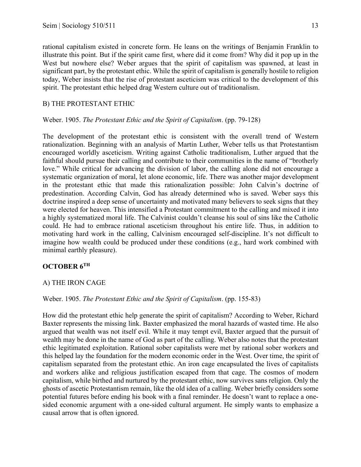rational capitalism existed in concrete form. He leans on the writings of Benjamin Franklin to illustrate this point. But if the spirit came first, where did it come from? Why did it pop up in the West but nowhere else? Weber argues that the spirit of capitalism was spawned, at least in significant part, by the protestant ethic. While the spirit of capitalism is generally hostile to religion today, Weber insists that the rise of protestant asceticism was critical to the development of this spirit. The protestant ethic helped drag Western culture out of traditionalism.

# B) THE PROTESTANT ETHIC

## Weber. 1905. *The Protestant Ethic and the Spirit of Capitalism*. (pp. 79-128)

The development of the protestant ethic is consistent with the overall trend of Western rationalization. Beginning with an analysis of Martin Luther, Weber tells us that Protestantism encouraged worldly asceticism. Writing against Catholic traditionalism, Luther argued that the faithful should pursue their calling and contribute to their communities in the name of "brotherly love." While critical for advancing the division of labor, the calling alone did not encourage a systematic organization of moral, let alone economic, life. There was another major development in the protestant ethic that made this rationalization possible: John Calvin's doctrine of predestination. According Calvin, God has already determined who is saved. Weber says this doctrine inspired a deep sense of uncertainty and motivated many believers to seek signs that they were elected for heaven. This intensified a Protestant commitment to the calling and mixed it into a highly systematized moral life. The Calvinist couldn't cleanse his soul of sins like the Catholic could. He had to embrace rational asceticism throughout his entire life. Thus, in addition to motivating hard work in the calling, Calvinism encouraged self-discipline. It's not difficult to imagine how wealth could be produced under these conditions (e.g., hard work combined with minimal earthly pleasure).

# **OCTOBER 6TH**

## A) THE IRON CAGE

## Weber. 1905. *The Protestant Ethic and the Spirit of Capitalism*. (pp. 155-83)

How did the protestant ethic help generate the spirit of capitalism? According to Weber, Richard Baxter represents the missing link. Baxter emphasized the moral hazards of wasted time. He also argued that wealth was not itself evil. While it may tempt evil, Baxter argued that the pursuit of wealth may be done in the name of God as part of the calling. Weber also notes that the protestant ethic legitimated exploitation. Rational sober capitalists were met by rational sober workers and this helped lay the foundation for the modern economic order in the West. Over time, the spirit of capitalism separated from the protestant ethic. An iron cage encapsulated the lives of capitalists and workers alike and religious justification escaped from that cage. The cosmos of modern capitalism, while birthed and nurtured by the protestant ethic, now survives sans religion. Only the ghosts of ascetic Protestantism remain, like the old idea of a calling. Weber briefly considers some potential futures before ending his book with a final reminder. He doesn't want to replace a onesided economic argument with a one-sided cultural argument. He simply wants to emphasize a causal arrow that is often ignored.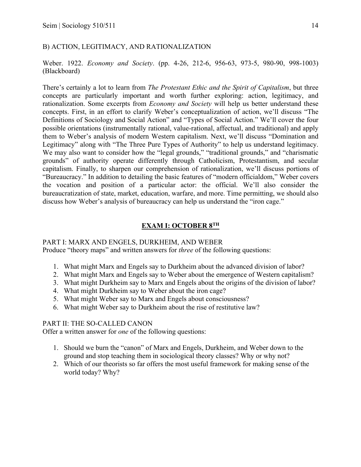## B) ACTION, LEGITIMACY, AND RATIONALIZATION

Weber. 1922. *Economy and Society*. (pp. 4-26, 212-6, 956-63, 973-5, 980-90, 998-1003) (Blackboard)

There's certainly a lot to learn from *The Protestant Ethic and the Spirit of Capitalism*, but three concepts are particularly important and worth further exploring: action, legitimacy, and rationalization. Some excerpts from *Economy and Society* will help us better understand these concepts. First, in an effort to clarify Weber's conceptualization of action, we'll discuss "The Definitions of Sociology and Social Action" and "Types of Social Action." We'll cover the four possible orientations (instrumentally rational, value-rational, affectual, and traditional) and apply them to Weber's analysis of modern Western capitalism. Next, we'll discuss "Domination and Legitimacy" along with "The Three Pure Types of Authority" to help us understand legitimacy. We may also want to consider how the "legal grounds," "traditional grounds," and "charismatic grounds" of authority operate differently through Catholicism, Protestantism, and secular capitalism. Finally, to sharpen our comprehension of rationalization, we'll discuss portions of "Bureaucracy." In addition to detailing the basic features of "modern officialdom," Weber covers the vocation and position of a particular actor: the official. We'll also consider the bureaucratization of state, market, education, warfare, and more. Time permitting, we should also discuss how Weber's analysis of bureaucracy can help us understand the "iron cage."

## **EXAM I: OCTOBER 8TH**

### PART I: MARX AND ENGELS, DURKHEIM, AND WEBER Produce "theory maps" and written answers for *three* of the following questions:

- 1. What might Marx and Engels say to Durkheim about the advanced division of labor?
- 2. What might Marx and Engels say to Weber about the emergence of Western capitalism?
- 3. What might Durkheim say to Marx and Engels about the origins of the division of labor?
- 4. What might Durkheim say to Weber about the iron cage?
- 5. What might Weber say to Marx and Engels about consciousness?
- 6. What might Weber say to Durkheim about the rise of restitutive law?

### PART II: THE SO-CALLED CANON

Offer a written answer for *one* of the following questions:

- 1. Should we burn the "canon" of Marx and Engels, Durkheim, and Weber down to the ground and stop teaching them in sociological theory classes? Why or why not?
- 2. Which of our theorists so far offers the most useful framework for making sense of the world today? Why?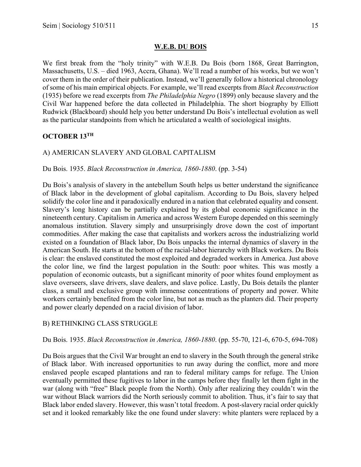### **W.E.B. DU BOIS**

We first break from the "holy trinity" with W.E.B. Du Bois (born 1868, Great Barrington, Massachusetts, U.S. – died 1963, Accra, Ghana). We'll read a number of his works, but we won't cover them in the order of their publication. Instead, we'll generally follow a historical chronology of some of his main empirical objects. For example, we'll read excerpts from *Black Reconstruction* (1935) before we read excerpts from *The Philadelphia Negro* (1899) only because slavery and the Civil War happened before the data collected in Philadelphia. The short biography by Elliott Rudwick (Blackboard) should help you better understand Du Bois's intellectual evolution as well as the particular standpoints from which he articulated a wealth of sociological insights.

# **OCTOBER 13TH**

## A) AMERICAN SLAVERY AND GLOBAL CAPITALISM

### Du Bois. 1935. *Black Reconstruction in America, 1860-1880*. (pp. 3-54)

Du Bois's analysis of slavery in the antebellum South helps us better understand the significance of Black labor in the development of global capitalism. According to Du Bois, slavery helped solidify the color line and it paradoxically endured in a nation that celebrated equality and consent. Slavery's long history can be partially explained by its global economic significance in the nineteenth century. Capitalism in America and across Western Europe depended on this seemingly anomalous institution. Slavery simply and unsurprisingly drove down the cost of important commodities. After making the case that capitalists and workers across the industrializing world existed on a foundation of Black labor, Du Bois unpacks the internal dynamics of slavery in the American South. He starts at the bottom of the racial-labor hierarchy with Black workers. Du Bois is clear: the enslaved constituted the most exploited and degraded workers in America. Just above the color line, we find the largest population in the South: poor whites. This was mostly a population of economic outcasts, but a significant minority of poor whites found employment as slave overseers, slave drivers, slave dealers, and slave police. Lastly, Du Bois details the planter class, a small and exclusive group with immense concentrations of property and power. White workers certainly benefited from the color line, but not as much as the planters did. Their property and power clearly depended on a racial division of labor.

## B) RETHINKING CLASS STRUGGLE

### Du Bois. 1935. *Black Reconstruction in America, 1860-1880*. (pp. 55-70, 121-6, 670-5, 694-708)

Du Bois argues that the Civil War brought an end to slavery in the South through the general strike of Black labor. With increased opportunities to run away during the conflict, more and more enslaved people escaped plantations and ran to federal military camps for refuge. The Union eventually permitted these fugitives to labor in the camps before they finally let them fight in the war (along with "free" Black people from the North). Only after realizing they couldn't win the war without Black warriors did the North seriously commit to abolition. Thus, it's fair to say that Black labor ended slavery. However, this wasn't total freedom. A post-slavery racial order quickly set and it looked remarkably like the one found under slavery: white planters were replaced by a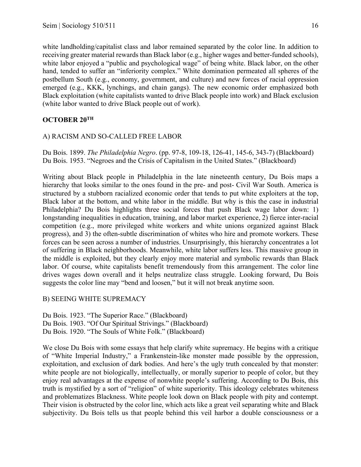white landholding/capitalist class and labor remained separated by the color line. In addition to receiving greater material rewards than Black labor (e.g., higher wages and better-funded schools), white labor enjoyed a "public and psychological wage" of being white. Black labor, on the other hand, tended to suffer an "inferiority complex." White domination permeated all spheres of the postbellum South (e.g., economy, government, and culture) and new forces of racial oppression emerged (e.g., KKK, lynchings, and chain gangs). The new economic order emphasized both Black exploitation (white capitalists wanted to drive Black people into work) and Black exclusion (white labor wanted to drive Black people out of work).

# **OCTOBER 20TH**

# A) RACISM AND SO-CALLED FREE LABOR

Du Bois. 1899. *The Philadelphia Negro*. (pp. 97-8, 109-18, 126-41, 145-6, 343-7) (Blackboard) Du Bois. 1953. "Negroes and the Crisis of Capitalism in the United States." (Blackboard)

Writing about Black people in Philadelphia in the late nineteenth century, Du Bois maps a hierarchy that looks similar to the ones found in the pre- and post- Civil War South. America is structured by a stubborn racialized economic order that tends to put white exploiters at the top, Black labor at the bottom, and white labor in the middle. But why is this the case in industrial Philadelphia? Du Bois highlights three social forces that push Black wage labor down: 1) longstanding inequalities in education, training, and labor market experience, 2) fierce inter-racial competition (e.g., more privileged white workers and white unions organized against Black progress), and 3) the often-subtle discrimination of whites who hire and promote workers. These forces can be seen across a number of industries. Unsurprisingly, this hierarchy concentrates a lot of suffering in Black neighborhoods. Meanwhile, white labor suffers less. This massive group in the middle is exploited, but they clearly enjoy more material and symbolic rewards than Black labor. Of course, white capitalists benefit tremendously from this arrangement. The color line drives wages down overall and it helps neutralize class struggle. Looking forward, Du Bois suggests the color line may "bend and loosen," but it will not break anytime soon.

## B) SEEING WHITE SUPREMACY

Du Bois. 1923. "The Superior Race." (Blackboard) Du Bois. 1903. "Of Our Spiritual Strivings." (Blackboard) Du Bois. 1920. "The Souls of White Folk." (Blackboard)

We close Du Bois with some essays that help clarify white supremacy. He begins with a critique of "White Imperial Industry," a Frankenstein-like monster made possible by the oppression, exploitation, and exclusion of dark bodies. And here's the ugly truth concealed by that monster: white people are not biologically, intellectually, or morally superior to people of color, but they enjoy real advantages at the expense of nonwhite people's suffering. According to Du Bois, this truth is mystified by a sort of "religion" of white superiority. This ideology celebrates whiteness and problematizes Blackness. White people look down on Black people with pity and contempt. Their vision is obstructed by the color line, which acts like a great veil separating white and Black subjectivity. Du Bois tells us that people behind this veil harbor a double consciousness or a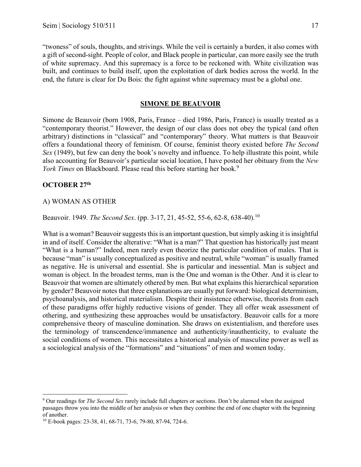"twoness" of souls, thoughts, and strivings. While the veil is certainly a burden, it also comes with a gift of second-sight. People of color, and Black people in particular, can more easily see the truth of white supremacy. And this supremacy is a force to be reckoned with. White civilization was built, and continues to build itself, upon the exploitation of dark bodies across the world. In the end, the future is clear for Du Bois: the fight against white supremacy must be a global one.

## **SIMONE DE BEAUVOIR**

Simone de Beauvoir (born 1908, Paris, France – died 1986, Paris, France) is usually treated as a "contemporary theorist." However, the design of our class does not obey the typical (and often arbitrary) distinctions in "classical" and "contemporary" theory. What matters is that Beauvoir offers a foundational theory of feminism. Of course, feminist theory existed before *The Second Sex* (1949), but few can deny the book's novelty and influence. To help illustrate this point, while also accounting for Beauvoir's particular social location, I have posted her obituary from the *New York Times* on Blackboard. Please read this before starting her book.<sup>9</sup>

## **OCTOBER 27th**

## A) WOMAN AS OTHER

Beauvoir. 1949. *The Second Sex*. (pp. 3-17, 21, 45-52, 55-6, 62-8, 638-40).10

What is a woman? Beauvoir suggests this is an important question, but simply asking it is insightful in and of itself. Consider the alterative: "What is a man?" That question has historically just meant "What is a human?" Indeed, men rarely even theorize the particular condition of males. That is because "man" is usually conceptualized as positive and neutral, while "woman" is usually framed as negative. He is universal and essential. She is particular and inessential. Man is subject and woman is object. In the broadest terms, man is the One and woman is the Other. And it is clear to Beauvoir that women are ultimately othered by men. But what explains this hierarchical separation by gender? Beauvoir notes that three explanations are usually put forward: biological determinism, psychoanalysis, and historical materialism. Despite their insistence otherwise, theorists from each of these paradigms offer highly reductive visions of gender. They all offer weak assessment of othering, and synthesizing these approaches would be unsatisfactory. Beauvoir calls for a more comprehensive theory of masculine domination. She draws on existentialism, and therefore uses the terminology of transcendence/immanence and authenticity/inauthenticity, to evaluate the social conditions of women. This necessitates a historical analysis of masculine power as well as a sociological analysis of the "formations" and "situations" of men and women today.

<sup>9</sup> Our readings for *The Second Sex* rarely include full chapters or sections. Don't be alarmed when the assigned passages throw you into the middle of her analysis or when they combine the end of one chapter with the beginning of another.

<sup>10</sup> E-book pages: 23-38, 41, 68-71, 73-6, 79-80, 87-94, 724-6.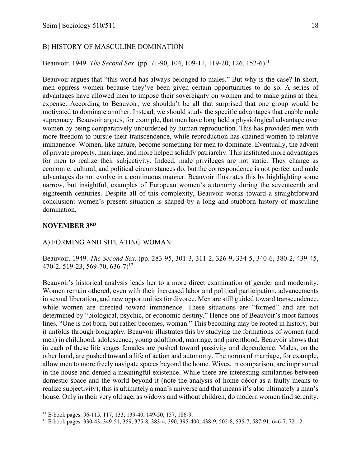### B) HISTORY OF MASCULINE DOMINATION

Beauvoir. 1949. *The Second Sex*. (pp. 71-90, 104, 109-11, 119-20, 126, 152-6)11

Beauvoir argues that "this world has always belonged to males." But why is the case? In short, men oppress women because they've been given certain opportunities to do so. A series of advantages have allowed men to impose their sovereignty on women and to make gains at their expense. According to Beauvoir, we shouldn't be all that surprised that one group would be motivated to dominate another. Instead, we should study the specific advantages that enable male supremacy. Beauvoir argues, for example, that men have long held a physiological advantage over women by being comparatively unburdened by human reproduction. This has provided men with more freedom to pursue their transcendence, while reproduction has chained women to relative immanence. Women, like nature, become something for men to dominate. Eventually, the advent of private property, marriage, and more helped solidify patriarchy. This instituted more advantages for men to realize their subjectivity. Indeed, male privileges are not static. They change as economic, cultural, and political circumstances do, but the correspondence is not perfect and male advantages do not evolve in a continuous manner. Beauvoir illustrates this by highlighting some narrow, but insightful, examples of European women's autonomy during the seventeenth and eighteenth centuries. Despite all of this complexity, Beauvoir works toward a straightforward conclusion: women's present situation is shaped by a long and stubborn history of masculine domination.

### **NOVEMBER 3RD**

#### A) FORMING AND SITUATING WOMAN

Beauvoir. 1949. *The Second Sex*. (pp. 283-95, 301-3, 311-2, 326-9, 334-5, 340-6, 380-2, 439-45, 470-2, 519-23, 569-70, 636-7)12

Beauvoir's historical analysis leads her to a more direct examination of gender and modernity. Women remain othered, even with their increased labor and political participation, advancements in sexual liberation, and new opportunities for divorce. Men are still guided toward transcendence, while women are directed toward immanence. These situations are "formed" and are not determined by "biological, psychic, or economic destiny." Hence one of Beauvoir's most famous lines, "One is not born, but rather becomes, woman." This becoming may be rooted in history, but it unfolds through biography. Beauvoir illustrates this by studying the formations of women (and men) in childhood, adolescence, young adulthood, marriage, and parenthood. Beauvoir shows that in each of these life stages females are pushed toward passivity and dependence. Males, on the other hand, are pushed toward a life of action and autonomy. The norms of marriage, for example, allow men to more freely navigate spaces beyond the home. Wives, in comparison, are imprisoned in the house and denied a meaningful existence. While there are interesting similarities between domestic space and the world beyond it (note the analysis of home décor as a faulty means to realize subjectivity), this is ultimately a man's universe and that means it's also ultimately a man's house. Only in their very old age, as widows and without children, do modern women find serenity.

<sup>&</sup>lt;sup>11</sup> E-book pages: 96-115, 117, 133, 139-40, 149-50, 157, 186-9.<br><sup>12</sup> E-book pages: 330-43, 349-51, 359, 375-8, 383-4, 390, 395-400, 438-9, 502-8, 535-7, 587-91, 646-7, 721-2.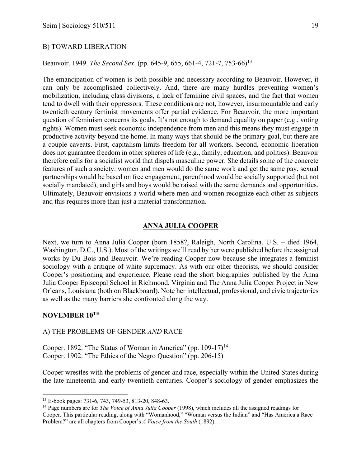### B) TOWARD LIBERATION

### Beauvoir. 1949. *The Second Sex*. (pp. 645-9, 655, 661-4, 721-7, 753-66)13

The emancipation of women is both possible and necessary according to Beauvoir. However, it can only be accomplished collectively. And, there are many hurdles preventing women's mobilization, including class divisions, a lack of feminine civil spaces, and the fact that women tend to dwell with their oppressors. These conditions are not, however, insurmountable and early twentieth century feminist movements offer partial evidence. For Beauvoir, the more important question of feminism concerns its goals. It's not enough to demand equality on paper (e.g., voting rights). Women must seek economic independence from men and this means they must engage in productive activity beyond the home. In many ways that should be the primary goal, but there are a couple caveats. First, capitalism limits freedom for all workers. Second, economic liberation does not guarantee freedom in other spheres of life (e.g., family, education, and politics). Beauvoir therefore calls for a socialist world that dispels masculine power. She details some of the concrete features of such a society: women and men would do the same work and get the same pay, sexual partnerships would be based on free engagement, parenthood would be socially supported (but not socially mandated), and girls and boys would be raised with the same demands and opportunities. Ultimately, Beauvoir envisions a world where men and women recognize each other as subjects and this requires more than just a material transformation.

#### **ANNA JULIA COOPER**

Next, we turn to Anna Julia Cooper (born 1858?, Raleigh, North Carolina, U.S. – died 1964, Washington, D.C., U.S.). Most of the writings we'll read by her were published before the assigned works by Du Bois and Beauvoir. We're reading Cooper now because she integrates a feminist sociology with a critique of white supremacy. As with our other theorists, we should consider Cooper's positioning and experience. Please read the short biographies published by the Anna Julia Cooper Episcopal School in Richmond, Virginia and The Anna Julia Cooper Project in New Orleans, Louisiana (both on Blackboard). Note her intellectual, professional, and civic trajectories as well as the many barriers she confronted along the way.

### **NOVEMBER 10TH**

#### A) THE PROBLEMS OF GENDER *AND* RACE

Cooper. 1892. "The Status of Woman in America" (pp. 109-17)<sup>14</sup> Cooper. 1902. "The Ethics of the Negro Question" (pp. 206-15)

Cooper wrestles with the problems of gender and race, especially within the United States during the late nineteenth and early twentieth centuries. Cooper's sociology of gender emphasizes the

<sup>13</sup> E-book pages: 731-6, 743, 749-53, 813-20, 848-63.

<sup>14</sup> Page numbers are for *The Voice of Anna Julia Cooper* (1998), which includes all the assigned readings for Cooper. This particular reading, along with "Womanhood," "Woman versus the Indian" and "Has America a Race Problem?" are all chapters from Cooper's *A Voice from the South* (1892).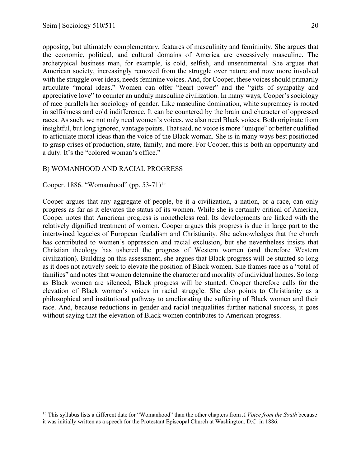opposing, but ultimately complementary, features of masculinity and femininity. She argues that the economic, political, and cultural domains of America are excessively masculine. The archetypical business man, for example, is cold, selfish, and unsentimental. She argues that American society, increasingly removed from the struggle over nature and now more involved with the struggle over ideas, needs feminine voices. And, for Cooper, these voices should primarily articulate "moral ideas." Women can offer "heart power" and the "gifts of sympathy and appreciative love" to counter an unduly masculine civilization. In many ways, Cooper's sociology of race parallels her sociology of gender. Like masculine domination, white supremacy is rooted in selfishness and cold indifference. It can be countered by the brain and character of oppressed races. As such, we not only need women's voices, we also need Black voices. Both originate from insightful, but long ignored, vantage points. That said, no voice is more "unique" or better qualified to articulate moral ideas than the voice of the Black woman. She is in many ways best positioned to grasp crises of production, state, family, and more. For Cooper, this is both an opportunity and a duty. It's the "colored woman's office."

## B) WOMANHOOD AND RACIAL PROGRESS

### Cooper. 1886. "Womanhood" (pp. 53-71)<sup>15</sup>

Cooper argues that any aggregate of people, be it a civilization, a nation, or a race, can only progress as far as it elevates the status of its women. While she is certainly critical of America, Cooper notes that American progress is nonetheless real. Its developments are linked with the relatively dignified treatment of women. Cooper argues this progress is due in large part to the intertwined legacies of European feudalism and Christianity. She acknowledges that the church has contributed to women's oppression and racial exclusion, but she nevertheless insists that Christian theology has ushered the progress of Western women (and therefore Western civilization). Building on this assessment, she argues that Black progress will be stunted so long as it does not actively seek to elevate the position of Black women. She frames race as a "total of families" and notes that women determine the character and morality of individual homes. So long as Black women are silenced, Black progress will be stunted. Cooper therefore calls for the elevation of Black women's voices in racial struggle. She also points to Christianity as a philosophical and institutional pathway to ameliorating the suffering of Black women and their race. And, because reductions in gender and racial inequalities further national success, it goes without saying that the elevation of Black women contributes to American progress.

<sup>15</sup> This syllabus lists a different date for "Womanhood" than the other chapters from *A Voice from the South* because it was initially written as a speech for the Protestant Episcopal Church at Washington, D.C. in 1886.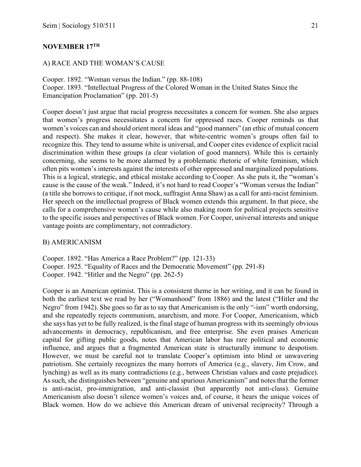## **NOVEMBER 17TH**

## A) RACE AND THE WOMAN'S CAUSE

Cooper. 1892. "Woman versus the Indian." (pp. 88-108) Cooper. 1893. "Intellectual Progress of the Colored Woman in the United States Since the Emancipation Proclamation" (pp. 201-5)

Cooper doesn't just argue that racial progress necessitates a concern for women. She also argues that women's progress necessitates a concern for oppressed races. Cooper reminds us that women's voices can and should orient moral ideas and "good manners" (an ethic of mutual concern and respect). She makes it clear, however, that white-centric women's groups often fail to recognize this. They tend to assume white is universal, and Cooper cites evidence of explicit racial discrimination within these groups (a clear violation of good manners). While this is certainly concerning, she seems to be more alarmed by a problematic rhetoric of white feminism, which often pits women's interests against the interests of other oppressed and marginalized populations. This is a logical, strategic, and ethical mistake according to Cooper. As she puts it, the "woman's cause is the cause of the weak." Indeed, it's not hard to read Cooper's "Woman versus the Indian" (a title she borrows to critique, if not mock, suffragist Anna Shaw) as a call for anti-racist feminism. Her speech on the intellectual progress of Black women extends this argument. In that piece, she calls for a comprehensive women's cause while also making room for political projects sensitive to the specific issues and perspectives of Black women. For Cooper, universal interests and unique vantage points are complimentary, not contradictory.

## B) AMERICANISM

Cooper. 1892. "Has America a Race Problem?" (pp. 121-33) Cooper. 1925. "Equality of Races and the Democratic Movement" (pp. 291-8) Cooper. 1942. "Hitler and the Negro" (pp. 262-5)

Cooper is an American optimist. This is a consistent theme in her writing, and it can be found in both the earliest text we read by her ("Womanhood" from 1886) and the latest ("Hitler and the Negro" from 1942). She goes so far as to say that Americanism is the only "-ism" worth endorsing, and she repeatedly rejects communism, anarchism, and more. For Cooper, Americanism, which she says has yet to be fully realized, is the final stage of human progress with its seemingly obvious advancements in democracy, republicanism, and free enterprise. She even praises American capital for gifting public goods, notes that American labor has rare political and economic influence, and argues that a fragmented American state is structurally immune to despotism. However, we must be careful not to translate Cooper's optimism into blind or unwavering patriotism. She certainly recognizes the many horrors of America (e.g., slavery, Jim Crow, and lynching) as well as its many contradictions (e.g., between Christian values and caste prejudice). As such, she distinguishes between "genuine and spurious Americanism" and notes that the former is anti-racist, pro-immigration, and anti-classist (but apparently not anti-class). Genuine Americanism also doesn't silence women's voices and, of course, it hears the unique voices of Black women. How do we achieve this American dream of universal reciprocity? Through a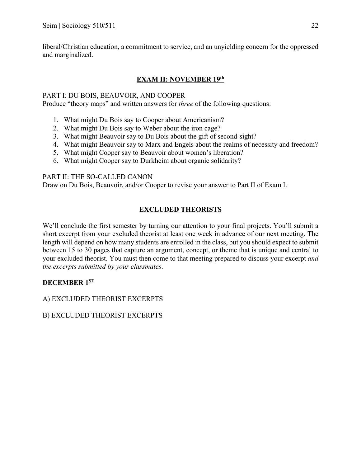liberal/Christian education, a commitment to service, and an unyielding concern for the oppressed and marginalized.

# **EXAM II: NOVEMBER 19th**

## PART I: DU BOIS, BEAUVOIR, AND COOPER

Produce "theory maps" and written answers for *three* of the following questions:

- 1. What might Du Bois say to Cooper about Americanism?
- 2. What might Du Bois say to Weber about the iron cage?
- 3. What might Beauvoir say to Du Bois about the gift of second-sight?
- 4. What might Beauvoir say to Marx and Engels about the realms of necessity and freedom?
- 5. What might Cooper say to Beauvoir about women's liberation?
- 6. What might Cooper say to Durkheim about organic solidarity?

## PART II: THE SO-CALLED CANON

Draw on Du Bois, Beauvoir, and/or Cooper to revise your answer to Part II of Exam I.

# **EXCLUDED THEORISTS**

We'll conclude the first semester by turning our attention to your final projects. You'll submit a short excerpt from your excluded theorist at least one week in advance of our next meeting. The length will depend on how many students are enrolled in the class, but you should expect to submit between 15 to 30 pages that capture an argument, concept, or theme that is unique and central to your excluded theorist. You must then come to that meeting prepared to discuss your excerpt *and the excerpts submitted by your classmates*.

# **DECEMBER 1ST**

A) EXCLUDED THEORIST EXCERPTS

B) EXCLUDED THEORIST EXCERPTS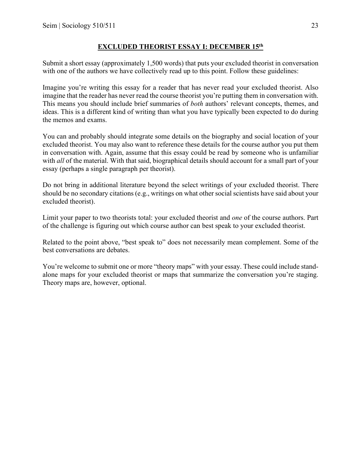# **EXCLUDED THEORIST ESSAY I: DECEMBER 15th**

Submit a short essay (approximately 1,500 words) that puts your excluded theorist in conversation with one of the authors we have collectively read up to this point. Follow these guidelines:

Imagine you're writing this essay for a reader that has never read your excluded theorist. Also imagine that the reader has never read the course theorist you're putting them in conversation with. This means you should include brief summaries of *both* authors' relevant concepts, themes, and ideas. This is a different kind of writing than what you have typically been expected to do during the memos and exams.

You can and probably should integrate some details on the biography and social location of your excluded theorist. You may also want to reference these details for the course author you put them in conversation with. Again, assume that this essay could be read by someone who is unfamiliar with *all* of the material. With that said, biographical details should account for a small part of your essay (perhaps a single paragraph per theorist).

Do not bring in additional literature beyond the select writings of your excluded theorist. There should be no secondary citations (e.g., writings on what other social scientists have said about your excluded theorist).

Limit your paper to two theorists total: your excluded theorist and *one* of the course authors. Part of the challenge is figuring out which course author can best speak to your excluded theorist.

Related to the point above, "best speak to" does not necessarily mean complement. Some of the best conversations are debates.

You're welcome to submit one or more "theory maps" with your essay. These could include standalone maps for your excluded theorist or maps that summarize the conversation you're staging. Theory maps are, however, optional.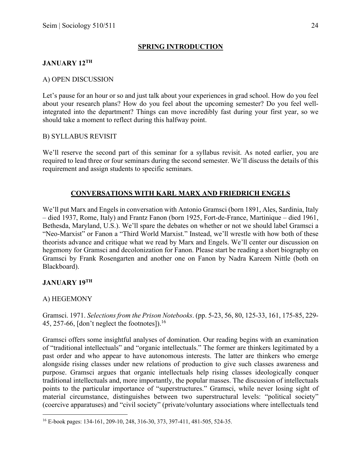# **SPRING INTRODUCTION**

# **JANUARY 12TH**

# A) OPEN DISCUSSION

Let's pause for an hour or so and just talk about your experiences in grad school. How do you feel about your research plans? How do you feel about the upcoming semester? Do you feel wellintegrated into the department? Things can move incredibly fast during your first year, so we should take a moment to reflect during this halfway point.

# B) SYLLABUS REVISIT

We'll reserve the second part of this seminar for a syllabus revisit. As noted earlier, you are required to lead three or four seminars during the second semester. We'll discuss the details of this requirement and assign students to specific seminars.

# **CONVERSATIONS WITH KARL MARX AND FRIEDRICH ENGELS**

We'll put Marx and Engels in conversation with Antonio Gramsci (born 1891, Ales, Sardinia, Italy – died 1937, Rome, Italy) and Frantz Fanon (born 1925, Fort-de-France, Martinique – died 1961, Bethesda, Maryland, U.S.). We'll spare the debates on whether or not we should label Gramsci a "Neo-Marxist" or Fanon a "Third World Marxist." Instead, we'll wrestle with how both of these theorists advance and critique what we read by Marx and Engels. We'll center our discussion on hegemony for Gramsci and decolonization for Fanon. Please start be reading a short biography on Gramsci by Frank Rosengarten and another one on Fanon by Nadra Kareem Nittle (both on Blackboard).

# **JANUARY 19TH**

# A) HEGEMONY

Gramsci. 1971. *Selections from the Prison Notebooks*. (pp. 5-23, 56, 80, 125-33, 161, 175-85, 229- 45, 257-66, [don't neglect the footnotes].<sup>16</sup>

Gramsci offers some insightful analyses of domination. Our reading begins with an examination of "traditional intellectuals" and "organic intellectuals." The former are thinkers legitimated by a past order and who appear to have autonomous interests. The latter are thinkers who emerge alongside rising classes under new relations of production to give such classes awareness and purpose. Gramsci argues that organic intellectuals help rising classes ideologically conquer traditional intellectuals and, more importantly, the popular masses. The discussion of intellectuals points to the particular importance of "superstructures." Gramsci, while never losing sight of material circumstance, distinguishes between two superstructural levels: "political society" (coercive apparatuses) and "civil society" (private/voluntary associations where intellectuals tend

<sup>16</sup> E-book pages: 134-161, 209-10, 248, 316-30, 373, 397-411, 481-505, 524-35.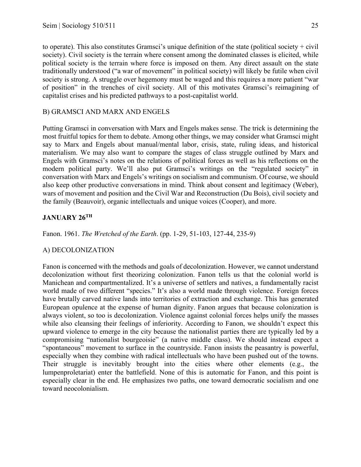to operate). This also constitutes Gramsci's unique definition of the state (political society + civil society). Civil society is the terrain where consent among the dominated classes is elicited, while political society is the terrain where force is imposed on them. Any direct assault on the state traditionally understood ("a war of movement" in political society) will likely be futile when civil society is strong. A struggle over hegemony must be waged and this requires a more patient "war of position" in the trenches of civil society. All of this motivates Gramsci's reimagining of capitalist crises and his predicted pathways to a post-capitalist world.

## B) GRAMSCI AND MARX AND ENGELS

Putting Gramsci in conversation with Marx and Engels makes sense. The trick is determining the most fruitful topics for them to debate. Among other things, we may consider what Gramsci might say to Marx and Engels about manual/mental labor, crisis, state, ruling ideas, and historical materialism. We may also want to compare the stages of class struggle outlined by Marx and Engels with Gramsci's notes on the relations of political forces as well as his reflections on the modern political party. We'll also put Gramsci's writings on the "regulated society" in conversation with Marx and Engels's writings on socialism and communism. Of course, we should also keep other productive conversations in mind. Think about consent and legitimacy (Weber), wars of movement and position and the Civil War and Reconstruction (Du Bois), civil society and the family (Beauvoir), organic intellectuals and unique voices (Cooper), and more.

# **JANUARY 26TH**

Fanon. 1961. *The Wretched of the Earth*. (pp. 1-29, 51-103, 127-44, 235-9)

# A) DECOLONIZATION

Fanon is concerned with the methods and goals of decolonization. However, we cannot understand decolonization without first theorizing colonization. Fanon tells us that the colonial world is Manichean and compartmentalized. It's a universe of settlers and natives, a fundamentally racist world made of two different "species." It's also a world made through violence. Foreign forces have brutally carved native lands into territories of extraction and exchange. This has generated European opulence at the expense of human dignity. Fanon argues that because colonization is always violent, so too is decolonization. Violence against colonial forces helps unify the masses while also cleansing their feelings of inferiority. According to Fanon, we shouldn't expect this upward violence to emerge in the city because the nationalist parties there are typically led by a compromising "nationalist bourgeoisie" (a native middle class). We should instead expect a "spontaneous" movement to surface in the countryside. Fanon insists the peasantry is powerful, especially when they combine with radical intellectuals who have been pushed out of the towns. Their struggle is inevitably brought into the cities where other elements (e.g., the lumpenproletariat) enter the battlefield. None of this is automatic for Fanon, and this point is especially clear in the end. He emphasizes two paths, one toward democratic socialism and one toward neocolonialism.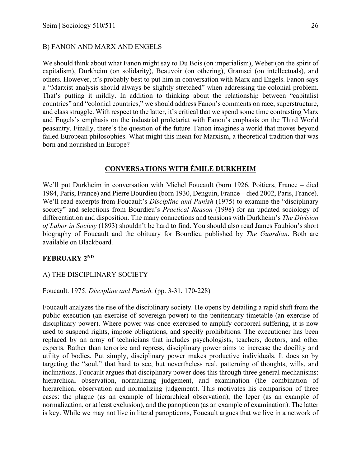### B) FANON AND MARX AND ENGELS

We should think about what Fanon might say to Du Bois (on imperialism), Weber (on the spirit of capitalism), Durkheim (on solidarity), Beauvoir (on othering), Gramsci (on intellectuals), and others. However, it's probably best to put him in conversation with Marx and Engels. Fanon says a "Marxist analysis should always be slightly stretched" when addressing the colonial problem. That's putting it mildly. In addition to thinking about the relationship between "capitalist countries" and "colonial countries," we should address Fanon's comments on race, superstructure, and class struggle. With respect to the latter, it's critical that we spend some time contrasting Marx and Engels's emphasis on the industrial proletariat with Fanon's emphasis on the Third World peasantry. Finally, there's the question of the future. Fanon imagines a world that moves beyond failed European philosophies. What might this mean for Marxism, a theoretical tradition that was born and nourished in Europe?

### **CONVERSATIONS WITH ÉMILE DURKHEIM**

We'll put Durkheim in conversation with Michel Foucault (born 1926, Poitiers, France – died 1984, Paris, France) and Pierre Bourdieu (born 1930, Denguin, France – died 2002, Paris, France). We'll read excerpts from Foucault's *Discipline and Punish* (1975) to examine the "disciplinary society" and selections from Bourdieu's *Practical Reason* (1998) for an updated sociology of differentiation and disposition. The many connections and tensions with Durkheim's *The Division of Labor in Society* (1893) shouldn't be hard to find. You should also read James Faubion's short biography of Foucault and the obituary for Bourdieu published by *The Guardian*. Both are available on Blackboard.

### **FEBRUARY 2ND**

### A) THE DISCIPLINARY SOCIETY

### Foucault. 1975. *Discipline and Punish.* (pp. 3-31, 170-228)

Foucault analyzes the rise of the disciplinary society. He opens by detailing a rapid shift from the public execution (an exercise of sovereign power) to the penitentiary timetable (an exercise of disciplinary power). Where power was once exercised to amplify corporeal suffering, it is now used to suspend rights, impose obligations, and specify prohibitions. The executioner has been replaced by an army of technicians that includes psychologists, teachers, doctors, and other experts. Rather than terrorize and repress, disciplinary power aims to increase the docility and utility of bodies. Put simply, disciplinary power makes productive individuals. It does so by targeting the "soul," that hard to see, but nevertheless real, patterning of thoughts, wills, and inclinations. Foucault argues that disciplinary power does this through three general mechanisms: hierarchical observation, normalizing judgement, and examination (the combination of hierarchical observation and normalizing judgement). This motivates his comparison of three cases: the plague (as an example of hierarchical observation), the leper (as an example of normalization, or at least exclusion), and the panopticon (as an example of examination). The latter is key. While we may not live in literal panopticons, Foucault argues that we live in a network of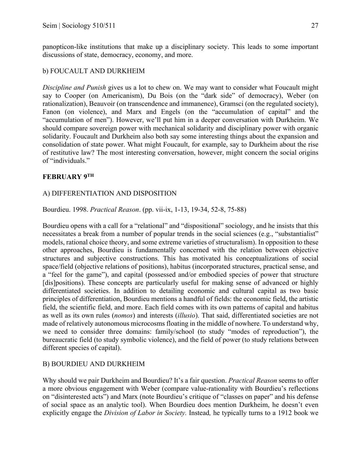panopticon-like institutions that make up a disciplinary society. This leads to some important discussions of state, democracy, economy, and more.

## b) FOUCAULT AND DURKHEIM

*Discipline and Punish* gives us a lot to chew on. We may want to consider what Foucault might say to Cooper (on Americanism), Du Bois (on the "dark side" of democracy), Weber (on rationalization), Beauvoir (on transcendence and immanence), Gramsci (on the regulated society), Fanon (on violence), and Marx and Engels (on the "accumulation of capital" and the "accumulation of men"). However, we'll put him in a deeper conversation with Durkheim. We should compare sovereign power with mechanical solidarity and disciplinary power with organic solidarity. Foucault and Durkheim also both say some interesting things about the expansion and consolidation of state power. What might Foucault, for example, say to Durkheim about the rise of restitutive law? The most interesting conversation, however, might concern the social origins of "individuals."

## **FEBRUARY 9TH**

## A) DIFFERENTIATION AND DISPOSITION

Bourdieu. 1998. *Practical Reason*. (pp. vii-ix, 1-13, 19-34, 52-8, 75-88)

Bourdieu opens with a call for a "relational" and "dispositional" sociology, and he insists that this necessitates a break from a number of popular trends in the social sciences (e.g., "substantialist" models, rational choice theory, and some extreme varieties of structuralism). In opposition to these other approaches, Bourdieu is fundamentally concerned with the relation between objective structures and subjective constructions. This has motivated his conceptualizations of social space/field (objective relations of positions), habitus (incorporated structures, practical sense, and a "feel for the game"), and capital (possessed and/or embodied species of power that structure [dis]positions). These concepts are particularly useful for making sense of advanced or highly differentiated societies. In addition to detailing economic and cultural capital as two basic principles of differentiation, Bourdieu mentions a handful of fields: the economic field, the artistic field, the scientific field, and more. Each field comes with its own patterns of capital and habitus as well as its own rules (*nomos*) and interests (*illusio*). That said, differentiated societies are not made of relatively autonomous microcosms floating in the middle of nowhere. To understand why, we need to consider three domains: family/school (to study "modes of reproduction"), the bureaucratic field (to study symbolic violence), and the field of power (to study relations between different species of capital).

## B) BOURDIEU AND DURKHEIM

Why should we pair Durkheim and Bourdieu? It's a fair question. *Practical Reason* seems to offer a more obvious engagement with Weber (compare value-rationality with Bourdieu's reflections on "disinterested acts") and Marx (note Bourdieu's critique of "classes on paper" and his defense of social space as an analytic tool). When Bourdieu does mention Durkheim, he doesn't even explicitly engage the *Division of Labor in Society.* Instead*,* he typically turns to a 1912 book we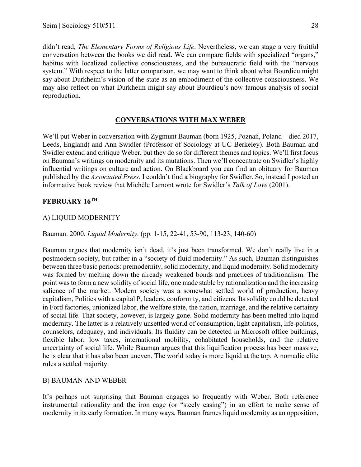didn't read*, The Elementary Forms of Religious Life*. Nevertheless, we can stage a very fruitful conversation between the books we did read. We can compare fields with specialized "organs," habitus with localized collective consciousness, and the bureaucratic field with the "nervous system." With respect to the latter comparison, we may want to think about what Bourdieu might say about Durkheim's vision of the state as an embodiment of the collective consciousness. We may also reflect on what Durkheim might say about Bourdieu's now famous analysis of social reproduction.

## **CONVERSATIONS WITH MAX WEBER**

We'll put Weber in conversation with Zygmunt Bauman (born 1925, Poznań, Poland – died 2017, Leeds, England) and Ann Swidler (Professor of Sociology at UC Berkeley). Both Bauman and Swidler extend and critique Weber, but they do so for different themes and topics. We'll first focus on Bauman's writings on modernity and its mutations. Then we'll concentrate on Swidler's highly influential writings on culture and action. On Blackboard you can find an obituary for Bauman published by the *Associated Press*. I couldn't find a biography for Swidler. So, instead I posted an informative book review that Michèle Lamont wrote for Swidler's *Talk of Love* (2001).

## **FEBRUARY 16TH**

## A) LIQUID MODERNITY

Bauman. 2000. *Liquid Modernity*. (pp. 1-15, 22-41, 53-90, 113-23, 140-60)

Bauman argues that modernity isn't dead, it's just been transformed. We don't really live in a postmodern society, but rather in a "society of fluid modernity." As such, Bauman distinguishes between three basic periods: premodernity, solid modernity, and liquid modernity. Solid modernity was formed by melting down the already weakened bonds and practices of traditionalism. The point was to form a new solidity of social life, one made stable by rationalization and the increasing salience of the market. Modern society was a somewhat settled world of production, heavy capitalism, Politics with a capital P, leaders, conformity, and citizens. Its solidity could be detected in Ford factories, unionized labor, the welfare state, the nation, marriage, and the relative certainty of social life. That society, however, is largely gone. Solid modernity has been melted into liquid modernity. The latter is a relatively unsettled world of consumption, light capitalism, life-politics, counselors, adequacy, and individuals. Its fluidity can be detected in Microsoft office buildings, flexible labor, low taxes, international mobility, cohabitated households, and the relative uncertainty of social life. While Bauman argues that this liquification process has been massive, he is clear that it has also been uneven. The world today is more liquid at the top. A nomadic elite rules a settled majority.

## B) BAUMAN AND WEBER

It's perhaps not surprising that Bauman engages so frequently with Weber. Both reference instrumental rationality and the iron cage (or "steely casing") in an effort to make sense of modernity in its early formation. In many ways, Bauman frames liquid modernity as an opposition,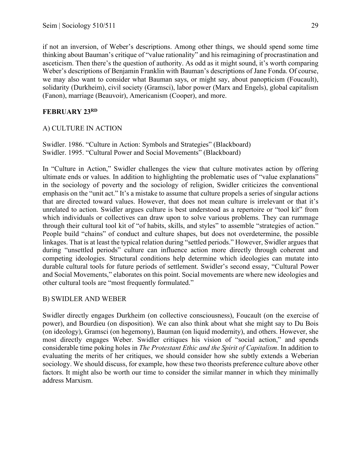if not an inversion, of Weber's descriptions. Among other things, we should spend some time thinking about Bauman's critique of "value rationality" and his reimagining of procrastination and asceticism. Then there's the question of authority. As odd as it might sound, it's worth comparing Weber's descriptions of Benjamin Franklin with Bauman's descriptions of Jane Fonda. Of course, we may also want to consider what Bauman says, or might say, about panopticism (Foucault), solidarity (Durkheim), civil society (Gramsci), labor power (Marx and Engels), global capitalism (Fanon), marriage (Beauvoir), Americanism (Cooper), and more.

## **FEBRUARY 23RD**

## A) CULTURE IN ACTION

Swidler. 1986. "Culture in Action: Symbols and Strategies" (Blackboard) Swidler. 1995. "Cultural Power and Social Movements" (Blackboard)

In "Culture in Action," Swidler challenges the view that culture motivates action by offering ultimate ends or values. In addition to highlighting the problematic uses of "value explanations" in the sociology of poverty and the sociology of religion, Swidler criticizes the conventional emphasis on the "unit act." It's a mistake to assume that culture propels a series of singular actions that are directed toward values. However, that does not mean culture is irrelevant or that it's unrelated to action. Swidler argues culture is best understood as a repertoire or "tool kit" from which individuals or collectives can draw upon to solve various problems. They can rummage through their cultural tool kit of "of habits, skills, and styles" to assemble "strategies of action." People build "chains" of conduct and culture shapes, but does not overdetermine, the possible linkages. That is at least the typical relation during "settled periods." However, Swidler argues that during "unsettled periods" culture can influence action more directly through coherent and competing ideologies. Structural conditions help determine which ideologies can mutate into durable cultural tools for future periods of settlement. Swidler's second essay, "Cultural Power and Social Movements," elaborates on this point. Social movements are where new ideologies and other cultural tools are "most frequently formulated."

## B) SWIDLER AND WEBER

Swidler directly engages Durkheim (on collective consciousness), Foucault (on the exercise of power), and Bourdieu (on disposition). We can also think about what she might say to Du Bois (on ideology), Gramsci (on hegemony), Bauman (on liquid modernity), and others. However, she most directly engages Weber. Swidler critiques his vision of "social action," and spends considerable time poking holes in *The Protestant Ethic and the Spirit of Capitalism*. In addition to evaluating the merits of her critiques, we should consider how she subtly extends a Weberian sociology. We should discuss, for example, how these two theorists preference culture above other factors. It might also be worth our time to consider the similar manner in which they minimally address Marxism.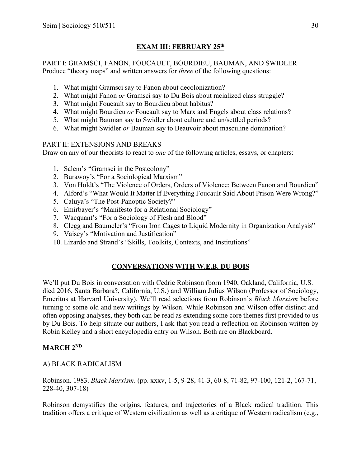# **EXAM III: FEBRUARY 25th**

PART I: GRAMSCI, FANON, FOUCAULT, BOURDIEU, BAUMAN, AND SWIDLER Produce "theory maps" and written answers for *three* of the following questions:

- 1. What might Gramsci say to Fanon about decolonization?
- 2. What might Fanon *or* Gramsci say to Du Bois about racialized class struggle?
- 3. What might Foucault say to Bourdieu about habitus?
- 4. What might Bourdieu *or* Foucault say to Marx and Engels about class relations?
- 5. What might Bauman say to Swidler about culture and un/settled periods?
- 6. What might Swidler *or* Bauman say to Beauvoir about masculine domination?

# PART II: EXTENSIONS AND BREAKS

Draw on any of our theorists to react to *one* of the following articles, essays, or chapters:

- 1. Salem's "Gramsci in the Postcolony"
- 2. Burawoy's "For a Sociological Marxism"
- 3. Von Holdt's "The Violence of Orders, Orders of Violence: Between Fanon and Bourdieu"
- 4. Alford's "What Would It Matter If Everything Foucault Said About Prison Were Wrong?"
- 5. Caluya's "The Post-Panoptic Society?"
- 6. Emirbayer's "Manifesto for a Relational Sociology"
- 7. Wacquant's "For a Sociology of Flesh and Blood"
- 8. Clegg and Baumeler's "From Iron Cages to Liquid Modernity in Organization Analysis"
- 9. Vaisey's "Motivation and Justification"
- 10. Lizardo and Strand's "Skills, Toolkits, Contexts, and Institutions"

# **CONVERSATIONS WITH W.E.B. DU BOIS**

We'll put Du Bois in conversation with Cedric Robinson (born 1940, Oakland, California, U.S. – died 2016, Santa Barbara?, California, U.S.) and William Julius Wilson (Professor of Sociology, Emeritus at Harvard University). We'll read selections from Robinson's *Black Marxism* before turning to some old and new writings by Wilson. While Robinson and Wilson offer distinct and often opposing analyses, they both can be read as extending some core themes first provided to us by Du Bois. To help situate our authors, I ask that you read a reflection on Robinson written by Robin Kelley and a short encyclopedia entry on Wilson. Both are on Blackboard.

# **MARCH 2ND**

# A) BLACK RADICALISM

Robinson. 1983. *Black Marxism*. (pp. xxxv, 1-5, 9-28, 41-3, 60-8, 71-82, 97-100, 121-2, 167-71, 228-40, 307-18)

Robinson demystifies the origins, features, and trajectories of a Black radical tradition. This tradition offers a critique of Western civilization as well as a critique of Western radicalism (e.g.,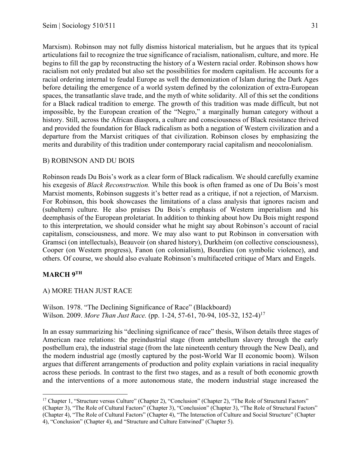Marxism). Robinson may not fully dismiss historical materialism, but he argues that its typical articulations fail to recognize the true significance of racialism, nationalism, culture, and more. He begins to fill the gap by reconstructing the history of a Western racial order. Robinson shows how racialism not only predated but also set the possibilities for modern capitalism. He accounts for a racial ordering internal to feudal Europe as well the demonization of Islam during the Dark Ages before detailing the emergence of a world system defined by the colonization of extra-European spaces, the transatlantic slave trade, and the myth of white solidarity. All of this set the conditions for a Black radical tradition to emerge. The growth of this tradition was made difficult, but not impossible, by the European creation of the "Negro," a marginally human category without a history. Still, across the African diaspora, a culture and consciousness of Black resistance thrived and provided the foundation for Black radicalism as both a negation of Western civilization and a departure from the Marxist critiques of that civilization. Robinson closes by emphasizing the merits and durability of this tradition under contemporary racial capitalism and neocolonialism.

## B) ROBINSON AND DU BOIS

Robinson reads Du Bois's work as a clear form of Black radicalism. We should carefully examine his exegesis of *Black Reconstruction.* While this book is often framed as one of Du Bois's most Marxist moments, Robinson suggests it's better read as a critique, if not a rejection, of Marxism. For Robinson, this book showcases the limitations of a class analysis that ignores racism and (subaltern) culture. He also praises Du Bois's emphasis of Western imperialism and his deemphasis of the European proletariat. In addition to thinking about how Du Bois might respond to this interpretation, we should consider what he might say about Robinson's account of racial capitalism, consciousness, and more. We may also want to put Robinson in conversation with Gramsci (on intellectuals), Beauvoir (on shared history), Durkheim (on collective consciousness), Cooper (on Western progress), Fanon (on colonialism), Bourdieu (on symbolic violence), and others. Of course, we should also evaluate Robinson's multifaceted critique of Marx and Engels.

# **MARCH 9TH**

A) MORE THAN JUST RACE

Wilson. 1978. "The Declining Significance of Race" (Blackboard) Wilson. 2009. *More Than Just Race.* (pp. 1-24, 57-61, 70-94, 105-32, 152-4)17

In an essay summarizing his "declining significance of race" thesis, Wilson details three stages of American race relations: the preindustrial stage (from antebellum slavery through the early postbellum era), the industrial stage (from the late nineteenth century through the New Deal), and the modern industrial age (mostly captured by the post-World War II economic boom). Wilson argues that different arrangements of production and polity explain variations in racial inequality across these periods. In contrast to the first two stages, and as a result of both economic growth and the interventions of a more autonomous state, the modern industrial stage increased the

<sup>&</sup>lt;sup>17</sup> Chapter 1, "Structure versus Culture" (Chapter 2), "Conclusion" (Chapter 2), "The Role of Structural Factors" (Chapter 3), "The Role of Cultural Factors" (Chapter 3), "Conclusion" (Chapter 3), "The Role of Structural Factors" (Chapter 4), "The Role of Cultural Factors" (Chapter 4), "The Interaction of Culture and Social Structure" (Chapter 4), "Conclusion" (Chapter 4), and "Structure and Culture Entwined" (Chapter 5).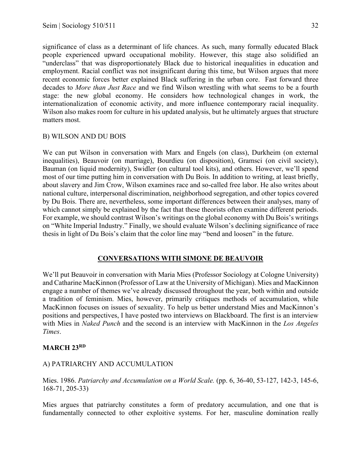significance of class as a determinant of life chances. As such, many formally educated Black people experienced upward occupational mobility. However, this stage also solidified an "underclass" that was disproportionately Black due to historical inequalities in education and employment. Racial conflict was not insignificant during this time, but Wilson argues that more recent economic forces better explained Black suffering in the urban core. Fast forward three decades to *More than Just Race* and we find Wilson wrestling with what seems to be a fourth stage: the new global economy. He considers how technological changes in work, the internationalization of economic activity, and more influence contemporary racial inequality. Wilson also makes room for culture in his updated analysis, but he ultimately argues that structure matters most.

## B) WILSON AND DU BOIS

We can put Wilson in conversation with Marx and Engels (on class), Durkheim (on external inequalities), Beauvoir (on marriage), Bourdieu (on disposition), Gramsci (on civil society), Bauman (on liquid modernity), Swidler (on cultural tool kits), and others. However, we'll spend most of our time putting him in conversation with Du Bois. In addition to writing, at least briefly, about slavery and Jim Crow, Wilson examines race and so-called free labor. He also writes about national culture, interpersonal discrimination, neighborhood segregation, and other topics covered by Du Bois. There are, nevertheless, some important differences between their analyses, many of which cannot simply be explained by the fact that these theorists often examine different periods. For example, we should contrast Wilson's writings on the global economy with Du Bois's writings on "White Imperial Industry." Finally, we should evaluate Wilson's declining significance of race thesis in light of Du Bois's claim that the color line may "bend and loosen" in the future.

## **CONVERSATIONS WITH SIMONE DE BEAUVOIR**

We'll put Beauvoir in conversation with Maria Mies (Professor Sociology at Cologne University) and Catharine MacKinnon (Professor of Law at the University of Michigan). Mies and MacKinnon engage a number of themes we've already discussed throughout the year, both within and outside a tradition of feminism. Mies, however, primarily critiques methods of accumulation, while MacKinnon focuses on issues of sexuality. To help us better understand Mies and MacKinnon's positions and perspectives, I have posted two interviews on Blackboard. The first is an interview with Mies in *Naked Punch* and the second is an interview with MacKinnon in the *Los Angeles Times*.

# **MARCH 23RD**

# A) PATRIARCHY AND ACCUMULATION

Mies. 1986. *Patriarchy and Accumulation on a World Scale.* (pp. 6, 36-40, 53-127, 142-3, 145-6, 168-71, 205-33)

Mies argues that patriarchy constitutes a form of predatory accumulation, and one that is fundamentally connected to other exploitive systems. For her, masculine domination really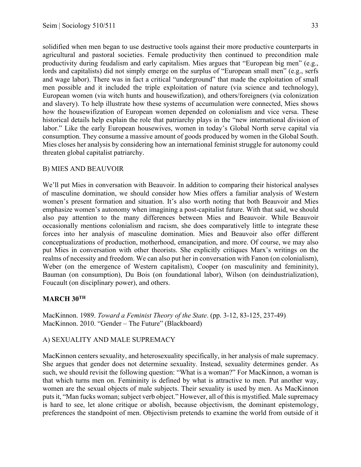solidified when men began to use destructive tools against their more productive counterparts in agricultural and pastoral societies. Female productivity then continued to precondition male productivity during feudalism and early capitalism. Mies argues that "European big men" (e.g., lords and capitalists) did not simply emerge on the surplus of "European small men" (e.g., serfs and wage labor). There was in fact a critical "underground" that made the exploitation of small men possible and it included the triple exploitation of nature (via science and technology), European women (via witch hunts and housewifization), and others/foreigners (via colonization and slavery). To help illustrate how these systems of accumulation were connected, Mies shows how the housewifization of European women depended on colonialism and vice versa. These historical details help explain the role that patriarchy plays in the "new international division of labor." Like the early European housewives, women in today's Global North serve capital via consumption. They consume a massive amount of goods produced by women in the Global South. Mies closes her analysis by considering how an international feminist struggle for autonomy could threaten global capitalist patriarchy.

## B) MIES AND BEAUVOIR

We'll put Mies in conversation with Beauvoir. In addition to comparing their historical analyses of masculine domination, we should consider how Mies offers a familiar analysis of Western women's present formation and situation. It's also worth noting that both Beauvoir and Mies emphasize women's autonomy when imagining a post-capitalist future. With that said, we should also pay attention to the many differences between Mies and Beauvoir. While Beauvoir occasionally mentions colonialism and racism, she does comparatively little to integrate these forces into her analysis of masculine domination. Mies and Beauvoir also offer different conceptualizations of production, motherhood, emancipation, and more. Of course, we may also put Mies in conversation with other theorists. She explicitly critiques Marx's writings on the realms of necessity and freedom. We can also put her in conversation with Fanon (on colonialism), Weber (on the emergence of Western capitalism), Cooper (on masculinity and femininity), Bauman (on consumption), Du Bois (on foundational labor), Wilson (on deindustrialization), Foucault (on disciplinary power), and others.

# **MARCH 30TH**

MacKinnon. 1989. *Toward a Feminist Theory of the State*. (pp. 3-12, 83-125, 237-49) MacKinnon. 2010. "Gender – The Future" (Blackboard)

# A) SEXUALITY AND MALE SUPREMACY

MacKinnon centers sexuality, and heterosexuality specifically, in her analysis of male supremacy. She argues that gender does not determine sexuality. Instead, sexuality determines gender. As such, we should revisit the following question: "What is a woman?" For MacKinnon, a woman is that which turns men on. Femininity is defined by what is attractive to men. Put another way, women are the sexual objects of male subjects. Their sexuality is used by men. As MacKinnon puts it, "Man fucks woman; subject verb object." However, all of this is mystified. Male supremacy is hard to see, let alone critique or abolish, because objectivism, the dominant epistemology, preferences the standpoint of men. Objectivism pretends to examine the world from outside of it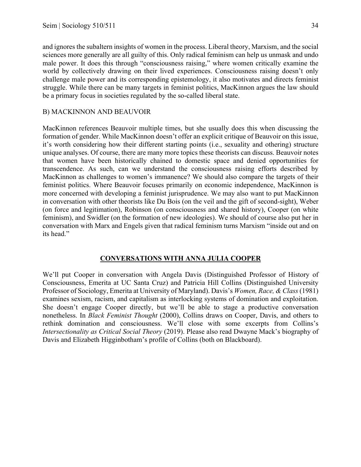and ignores the subaltern insights of women in the process. Liberal theory, Marxism, and the social sciences more generally are all guilty of this. Only radical feminism can help us unmask and undo male power. It does this through "consciousness raising," where women critically examine the world by collectively drawing on their lived experiences. Consciousness raising doesn't only challenge male power and its corresponding epistemology, it also motivates and directs feminist struggle. While there can be many targets in feminist politics, MacKinnon argues the law should be a primary focus in societies regulated by the so-called liberal state.

## B) MACKINNON AND BEAUVOIR

MacKinnon references Beauvoir multiple times, but she usually does this when discussing the formation of gender. While MacKinnon doesn't offer an explicit critique of Beauvoir on this issue, it's worth considering how their different starting points (i.e., sexuality and othering) structure unique analyses. Of course, there are many more topics these theorists can discuss. Beauvoir notes that women have been historically chained to domestic space and denied opportunities for transcendence. As such, can we understand the consciousness raising efforts described by MacKinnon as challenges to women's immanence? We should also compare the targets of their feminist politics. Where Beauvoir focuses primarily on economic independence, MacKinnon is more concerned with developing a feminist jurisprudence. We may also want to put MacKinnon in conversation with other theorists like Du Bois (on the veil and the gift of second-sight), Weber (on force and legitimation), Robinson (on consciousness and shared history), Cooper (on white feminism), and Swidler (on the formation of new ideologies). We should of course also put her in conversation with Marx and Engels given that radical feminism turns Marxism "inside out and on its head."

# **CONVERSATIONS WITH ANNA JULIA COOPER**

We'll put Cooper in conversation with Angela Davis (Distinguished Professor of History of Consciousness, Emerita at UC Santa Cruz) and Patricia Hill Collins (Distinguished University Professor of Sociology, Emerita at University of Maryland). Davis's *Women, Race, & Class*(1981) examines sexism, racism, and capitalism as interlocking systems of domination and exploitation. She doesn't engage Cooper directly, but we'll be able to stage a productive conversation nonetheless. In *Black Feminist Thought* (2000), Collins draws on Cooper, Davis, and others to rethink domination and consciousness. We'll close with some excerpts from Collins's *Intersectionality as Critical Social Theory* (2019). Please also read Dwayne Mack's biography of Davis and Elizabeth Higginbotham's profile of Collins (both on Blackboard).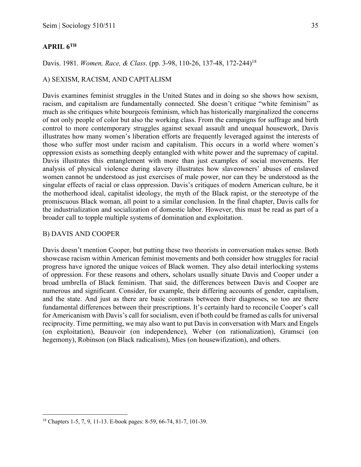## **APRIL 6TH**

## Davis. 1981. *Women, Race, & Class*. (pp. 3-98, 110-26, 137-48, 172-244)18

### A) SEXISM, RACISM, AND CAPITALISM

Davis examines feminist struggles in the United States and in doing so she shows how sexism, racism, and capitalism are fundamentally connected. She doesn't critique "white feminism" as much as she critiques white bourgeois feminism, which has historically marginalized the concerns of not only people of color but also the working class. From the campaigns for suffrage and birth control to more contemporary struggles against sexual assault and unequal housework, Davis illustrates how many women's liberation efforts are frequently leveraged against the interests of those who suffer most under racism and capitalism. This occurs in a world where women's oppression exists as something deeply entangled with white power and the supremacy of capital. Davis illustrates this entanglement with more than just examples of social movements. Her analysis of physical violence during slavery illustrates how slaveowners' abuses of enslaved women cannot be understood as just exercises of male power, nor can they be understood as the singular effects of racial or class oppression. Davis's critiques of modern American culture, be it the motherhood ideal, capitalist ideology, the myth of the Black rapist, or the stereotype of the promiscuous Black woman, all point to a similar conclusion. In the final chapter, Davis calls for the industrialization and socialization of domestic labor. However, this must be read as part of a broader call to topple multiple systems of domination and exploitation.

### B) DAVIS AND COOPER

Davis doesn't mention Cooper, but putting these two theorists in conversation makes sense. Both showcase racism within American feminist movements and both consider how struggles for racial progress have ignored the unique voices of Black women. They also detail interlocking systems of oppression. For these reasons and others, scholars usually situate Davis and Cooper under a broad umbrella of Black feminism. That said, the differences between Davis and Cooper are numerous and significant. Consider, for example, their differing accounts of gender, capitalism, and the state. And just as there are basic contrasts between their diagnoses, so too are there fundamental differences between their prescriptions. It's certainly hard to reconcile Cooper's call for Americanism with Davis's call for socialism, even if both could be framed as calls for universal reciprocity. Time permitting, we may also want to put Davis in conversation with Marx and Engels (on exploitation), Beauvoir (on independence), Weber (on rationalization), Gramsci (on hegemony), Robinson (on Black radicalism), Mies (on housewifization), and others.

<sup>18</sup> Chapters 1-5, 7, 9, 11-13. E-book pages: 8-59, 66-74, 81-7, 101-39.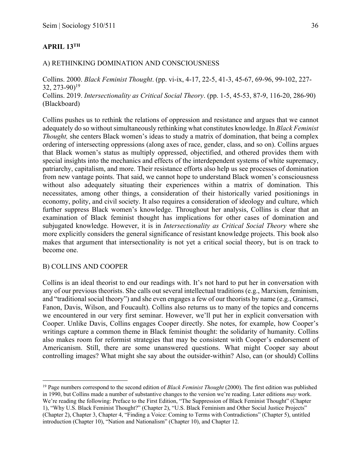# **APRIL 13TH**

## A) RETHINKING DOMINATION AND CONSCIOUSNESS

Collins. 2000. *Black Feminist Thought*. (pp. vi-ix, 4-17, 22-5, 41-3, 45-67, 69-96, 99-102, 227- 32, 273-90) 19 Collins. 2019. *Intersectionality as Critical Social Theory*. (pp. 1-5, 45-53, 87-9, 116-20, 286-90) (Blackboard)

Collins pushes us to rethink the relations of oppression and resistance and argues that we cannot adequately do so without simultaneously rethinking what constitutes knowledge. In *Black Feminist Thought,* she centers Black women's ideas to study a matrix of domination, that being a complex ordering of intersecting oppressions (along axes of race, gender, class, and so on). Collins argues that Black women's status as multiply oppressed, objectified, and othered provides them with special insights into the mechanics and effects of the interdependent systems of white supremacy, patriarchy, capitalism, and more. Their resistance efforts also help us see processes of domination from new vantage points. That said, we cannot hope to understand Black women's consciousness without also adequately situating their experiences within a matrix of domination. This necessitates, among other things, a consideration of their historically varied positionings in economy, polity, and civil society. It also requires a consideration of ideology and culture, which further suppress Black women's knowledge. Throughout her analysis, Collins is clear that an examination of Black feminist thought has implications for other cases of domination and subjugated knowledge. However, it is in *Intersectionality as Critical Social Theory* where she more explicitly considers the general significance of resistant knowledge projects. This book also makes that argument that intersectionality is not yet a critical social theory, but is on track to become one.

## B) COLLINS AND COOPER

Collins is an ideal theorist to end our readings with. It's not hard to put her in conversation with any of our previous theorists. She calls out several intellectual traditions (e.g., Marxism, feminism, and "traditional social theory") and she even engages a few of our theorists by name (e.g., Gramsci, Fanon, Davis, Wilson, and Foucault). Collins also returns us to many of the topics and concerns we encountered in our very first seminar. However, we'll put her in explicit conversation with Cooper. Unlike Davis, Collins engages Cooper directly. She notes, for example, how Cooper's writings capture a common theme in Black feminist thought: the solidarity of humanity. Collins also makes room for reformist strategies that may be consistent with Cooper's endorsement of Americanism. Still, there are some unanswered questions. What might Cooper say about controlling images? What might she say about the outsider-within? Also, can (or should) Collins

<sup>&</sup>lt;sup>19</sup> Page numbers correspond to the second edition of *Black Feminist Thought* (2000). The first edition was published in 1990, but Collins made a number of substantive changes to the version we're reading. Later editions *may* work. We're reading the following: Preface to the First Edition, "The Suppression of Black Feminist Thought" (Chapter 1), "Why U.S. Black Feminist Thought?" (Chapter 2), "U.S. Black Feminism and Other Social Justice Projects" (Chapter 2), Chapter 3, Chapter 4, "Finding a Voice: Coming to Terms with Contradictions" (Chapter 5), untitled introduction (Chapter 10), "Nation and Nationalism" (Chapter 10), and Chapter 12.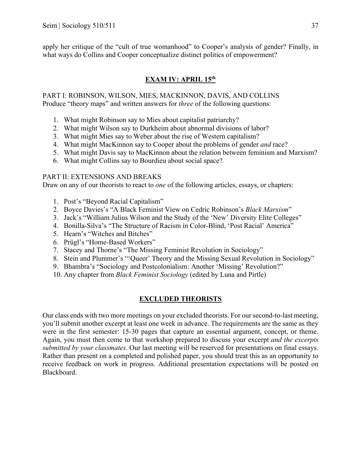apply her critique of the "cult of true womanhood" to Cooper's analysis of gender? Finally, in what ways do Collins and Cooper conceptualize distinct politics of empowerment?

# **EXAM IV: APRIL 15th**

PART I: ROBINSON, WILSON, MIES, MACKINNON, DAVIS, AND COLLINS Produce "theory maps" and written answers for *three* of the following questions:

- 1. What might Robinson say to Mies about capitalist patriarchy?
- 2. What might Wilson say to Durkheim about abnormal divisions of labor?
- 3. What might Mies say to Weber about the rise of Western capitalism?
- 4. What might MacKinnon say to Cooper about the problems of gender *and* race?
- 5. What might Davis say to MacKinnon about the relation between feminism and Marxism?
- 6. What might Collins say to Bourdieu about social space?

## PART II: EXTENSIONS AND BREAKS

Draw on any of our theorists to react to *one* of the following articles, essays, or chapters:

- 1. Post's "Beyond Racial Capitalism"
- 2. Boyce Davies's "A Black Feminist View on Cedric Robinson's *Black Marxism*"
- 3. Jack's "William Julius Wilson and the Study of the 'New' Diversity Elite Colleges"
- 4. Bonilla-Silva's "The Structure of Racism in Color-Blind, 'Post Racial' America"
- 5. Hearn's "Witches and Bitches"
- 6. Prügl's "Home-Based Workers"
- 7. Stacey and Thorne's "The Missing Feminist Revolution in Sociology"
- 8. Stein and Plummer's "'Queer' Theory and the Missing Sexual Revolution in Sociology"
- 9. Bhambra's "Sociology and Postcolonialism: Another 'Missing' Revolution?"
- 10. Any chapter from *Black Feminist Sociology* (edited by Luna and Pirtle)

# **EXCLUDED THEORISTS**

Our class ends with two more meetings on your excluded theorists. For our second-to-last meeting, you'll submit another excerpt at least one week in advance. The requirements are the same as they were in the first semester: 15-30 pages that capture an essential argument, concept, or theme. Again, you must then come to that workshop prepared to discuss your excerpt *and the excerpts submitted by your classmates*. Our last meeting will be reserved for presentations on final essays. Rather than present on a completed and polished paper, you should treat this as an opportunity to receive feedback on work in progress. Additional presentation expectations will be posted on Blackboard.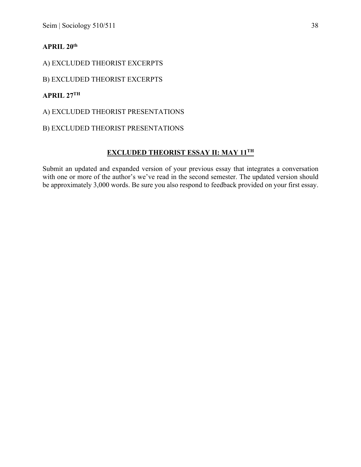Seim | Sociology 510/511 38

# **APRIL 20th**

A) EXCLUDED THEORIST EXCERPTS

# B) EXCLUDED THEORIST EXCERPTS

# **APRIL 27TH**

A) EXCLUDED THEORIST PRESENTATIONS

# B) EXCLUDED THEORIST PRESENTATIONS

# **EXCLUDED THEORIST ESSAY II: MAY 11TH**

Submit an updated and expanded version of your previous essay that integrates a conversation with one or more of the author's we've read in the second semester. The updated version should be approximately 3,000 words. Be sure you also respond to feedback provided on your first essay.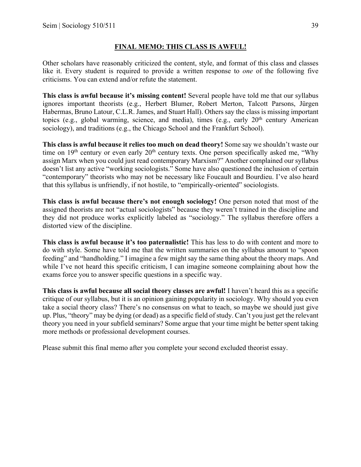## **FINAL MEMO: THIS CLASS IS AWFUL!**

Other scholars have reasonably criticized the content, style, and format of this class and classes like it. Every student is required to provide a written response to *one* of the following five criticisms. You can extend and/or refute the statement.

**This class is awful because it's missing content!** Several people have told me that our syllabus ignores important theorists (e.g., Herbert Blumer, Robert Merton, Talcott Parsons, Jürgen Habermas, Bruno Latour, C.L.R. James, and Stuart Hall). Others say the class is missing important topics (e.g., global warming, science, and media), times (e.g., early  $20<sup>th</sup>$  century American sociology), and traditions (e.g., the Chicago School and the Frankfurt School).

**This class is awful because it relies too much on dead theory!** Some say we shouldn't waste our time on  $19<sup>th</sup>$  century or even early  $20<sup>th</sup>$  century texts. One person specifically asked me, "Why assign Marx when you could just read contemporary Marxism?" Another complained our syllabus doesn't list any active "working sociologists." Some have also questioned the inclusion of certain "contemporary" theorists who may not be necessary like Foucault and Bourdieu. I've also heard that this syllabus is unfriendly, if not hostile, to "empirically-oriented" sociologists.

**This class is awful because there's not enough sociology!** One person noted that most of the assigned theorists are not "actual sociologists" because they weren't trained in the discipline and they did not produce works explicitly labeled as "sociology." The syllabus therefore offers a distorted view of the discipline.

**This class is awful because it's too paternalistic!** This has less to do with content and more to do with style. Some have told me that the written summaries on the syllabus amount to "spoon feeding" and "handholding." I imagine a few might say the same thing about the theory maps. And while I've not heard this specific criticism, I can imagine someone complaining about how the exams force you to answer specific questions in a specific way.

**This class is awful because all social theory classes are awful!** I haven't heard this as a specific critique of our syllabus, but it is an opinion gaining popularity in sociology. Why should you even take a social theory class? There's no consensus on what to teach, so maybe we should just give up. Plus, "theory" may be dying (or dead) as a specific field of study. Can't you just get the relevant theory you need in your subfield seminars? Some argue that your time might be better spent taking more methods or professional development courses.

Please submit this final memo after you complete your second excluded theorist essay.